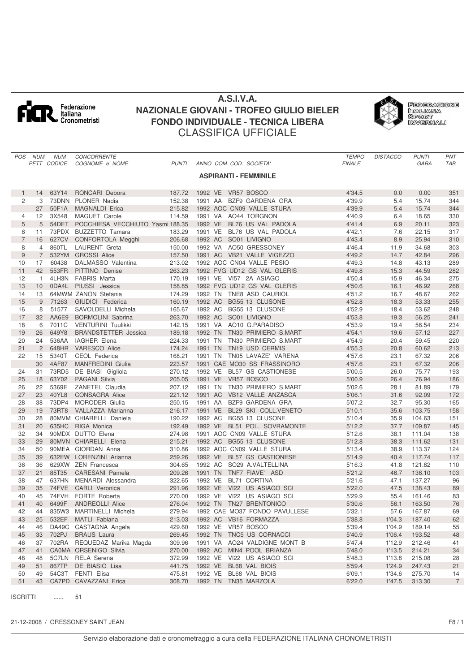

## **A.S.I.V.A. NAZIONALE GIOVANI - TROFEO GIULIO BIELER FONDO INDIVIDUALE - TECNICA LIBERA** CLASSIFICA UFFICIALE



*POS NUM NUM CONCORRENTE TEMPO DISTACCO PUNTI PNT PETT CODICE COGNOME e NOME PUNTI ANNO COM COD. SOCIETA' FINALE GARA TAB* **ASPIRANTI - FEMMINILE** 14 63Y14 RONCARI Debora 187.72 1992 VE VR57 BOSCO 4'34.5 0.0 0.00 351 3 73DNN PLONER Nadia 152.38 1991 AA BZF9 GARDENA GRA 4'39.9 5.4 15.74 344 50F1A MAGNALDI Erica 215.82 1992 AOC CN09 VALLE STURA 4'39.9 5.4 15.74 344 12 3X548 MAGUET Carole 114.59 1991 VA AO44 TORGNON 4'40.9 6.4 18.65 330 5 54DET POCCHIESA VECCHIUTO Yasmi 188.35 1992 VE BL76 US VAL PADOLA 4'41.4 6.9 20.11 323 11 73PDX BUZZETTO Tamara 183.29 1991 VE BL76 US VAL PADOLA 4'42.1 7.6 22.15 317 16 627CV CONFORTOLA Megghi 206.68 1992 AC SO01 LIVIGNO 4'43.4 8.9 25.94 310 4 860TL LAURENT Greta 150.00 1992 VA AO50 GRESSONEY 4'46.4 11.9 34.68 303 7 532YM GROSSI Alice 157.50 1991 AC VB21 VALLE VIGEZZO 4'49.2 14.7 42.84 296 17 60438 DALMASSO Valentina 213.02 1992 AOC CN04 VALLE PESIO 4'49.3 14.8 43.13 289 42 553FR PITTINO Denise 263.23 1992 FVG UD12 GS VAL GLERIS 4'49.8 15.3 44.59 282 1 4LH3N FABRIS Marta 170.19 1991 VE VI57 2A ASIAGO 4'50.4 15.9 46.34 275 13 10 0DA4L PIUSSI Jessica a 158.85 1992 FVG UD12 GS VAL GLERIS 4150.6 16.1 46.92 268<br>14 13 64MWM ZANON Stefania 174.29 1992 TN TNE8 ASD CAURIOL 4151.2 16.7 48.67 262 14 13 64MWM ZANON Stefania 174.29 1992 TN TNE8 ASD CAURIOL 174.2 451.2 16.7 48.67 262 9 71263 GIUDICI Federica 160.19 1992 AC BG55 13 CLUSONE 4'52.8 18.3 53.33 255 16 8 51577 SAVOLDELLI Michela 165.67 1992 AC BG55 13 CLUSONE 4'52.9 18.4 53.62 32 AA6E9 BORMOLINI Sabrina 263.70 1992 AC SO01 LIVIGNO 4'53.8 19.3 56.25 241 6 7011C VENTURINI Tuulikki 142.15 1991 VA AO10 G.PARADISO 4'53.9 19.4 56.54 234 19 26 649Y8 BRANDSTETTER Jessica 189.18 1992 TN TN30 PRIMIERO S.MART 4'54.1 19.6 57.12 227 24 536AA IAGHER Elena 224.33 1991 TN TN30 PRIMIERO S.MART 4'54.9 20.4 59.45 220 2 648HR VARESCO Alice 174.24 1991 TN TN19 USD CERMIS 4'55.3 20.8 60.62 213 15 5340T CEOL Federica 168.21 1991 TN TN05 LAVAZE' VARENA 4'57.6 23.1 67.32 206 4AF87 MANFREDINI Giulia 223.57 1991 CAE MO30 SS FRASSINORO 4'57.6 23.1 67.32 206 31 73RD5 DE BIASI Gigliola 270.12 1992 VE BL57 GS CASTIONESE 5'00.5 26.0 75.77 193 18 63Y02 PAGANI Silvia 205.05 1991 VE VR57 BOSCO 5'00.9 26.4 76.94 186 22 5369E ZANETEL Claudia 207.12 1991 TN TN30 PRIMIERO S.MART 5'02.6 28.1 81.89 179 23 40YL8 CONSAGRA Alice 221.12 1991 AC VB12 VALLE ANZASCA 5'06.1 31.6 92.09 172 28 38 73DP4 MORODER Giulia 250.15 1991 AA BZF9 GARDENA GRA 5'07.2 32.7 95.30 165 19 73RT8 VALLAZZA Marianna 216.17 1991 VE BL29 SKI COLL.VENETO 5'10.1 35.6 103.75 158 28 80MVM CHIARELLI Daniela 190.22 1992 AC BG55 13 CLUSONE 5'10.4 35.9 104.63 151 20 635HC RIGA Monica 192.49 1992 VE BL51 POL. SOVRAMONTE 5'12.2 37.7 109.87 145 34 90MDX DUTTO Elena 274.98 1991 AOC CN09 VALLE STURA 5'12.6 38.1 111.04 138 29 80MVN CHIARELLI Elena 215.21 1992 AC BG55 13 CLUSONE 5'12.8 38.3 111.62 131 50 90MEA GIORDAN Anna 310.86 1992 AOC CN09 VALLE STURA 5'13.4 38.9 113.37 124 39 632EW LORENZINI Arianna 259.26 1992 VE BL57 GS CASTIONESE 5'14.9 40.4 117.74 117 36 629XW ZEN Francesca 304.65 1992 AC SO29 A.VALTELLINA 5'16.3 41.8 121.82 110 37 21 85T35 CARESANI Pamela 209.26 1991 TN TNF7 FIAVE' ASD 5'21.2 46.7 136.10 103 47 637HN MENARDI Alessandra 322.65 1992 VE BL71 CORTINA 5'21.6 47.1 137.27 96 35 74FVE CARLI Veronica 291.96 1992 VE VI22 US ASIAGO SCI 5'22.0 47.5 138.43 89 45 74FVH FORTE Roberta 270.00 1992 VE VI22 US ASIAGO SCI 5'29.9 55.4 161.46 83 40 6499F ANDREOLLI Alice 276.04 1992 TN TN27 BRENTONICO 5'30.6 56.1 163.50 76 42 44 835W3 MARTINELLI Michela 279.94 1992 CAE MO37 FONDO PAVULLESE 5132.1 57.6 167.87 69 43 25 532EF MATLI Fabiana 213.03 1992 AC VB16 FORMAZZA 5'38.8 1'04.3 187.40 62 46 DA49C CASTAGNA Angela 429.60 1992 VE VR57 BOSCO 5'39.4 1'04.9 189.14 55 33 702PJ BRAUS Laura 269.45 1992 TN TNC5 US CORNACCI 5'40.9 1'06.4 193.52 48 37 702RA REQUEDAZ Marika Magda 309.96 1991 VA AO24 VALDIGNE MONT B 5'47.4 1'12.9 212.46 41 41 CA0MA ORSENIGO Silvia 270.00 1992 AC MIN4 POOL BRIANZA 5'48.0 1'13.5 214.21 34 48 5C7LN RELA Serena 372.99 1992 VE VI22 US ASIAGO SCI 5'48.3 1'13.8 215.08 28 51 867TP DE BIASIO Lisa 441.75 1992 VE BL68 VAL BIOIS 5'59.4 1'24.9 247.43 21 49 54C3T FENTI Elisa 475.81 1992 VE BL68 VAL BIOIS 6'09.1 1'34.6 275.70 14 43 CA7PD CAVAZZANI Erica 308.70 1992 TN TN35 MARZOLA 6'22.0 1'47.5 313.30 7

ISCRITTI ...... 51

21-12-2008 / GRESSONEY SAINT JEAN F8 / 1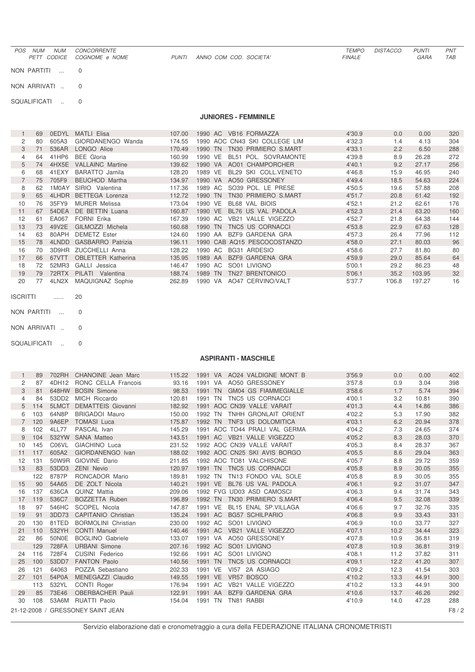| <b>NUM</b><br><b>NUM</b><br><b>POS</b><br>PETT CODICE | <b>CONCORRENTE</b><br><i>COGNOME</i> e NOME | PUNTI | ANNO COM COD. SOCIETA'      | <b>TEMPO</b><br><b>FINALE</b> | <b>DISTACCO</b> | <b>PUNTI</b><br>GARA | <b>PNT</b><br>TAB |
|-------------------------------------------------------|---------------------------------------------|-------|-----------------------------|-------------------------------|-----------------|----------------------|-------------------|
| NON PARTITI                                           | $\overline{0}$                              |       |                             |                               |                 |                      |                   |
| NON ARRIVATI                                          | $\overline{0}$                              |       |                             |                               |                 |                      |                   |
| SQUALIFICATI<br>$\sim$                                | $\overline{0}$                              |       |                             |                               |                 |                      |                   |
|                                                       |                                             |       | <b>JUNIORES - FEMMINILE</b> |                               |                 |                      |                   |

## 69 0EDYL MATLI Elisa 107.00 1990 AC VB16 FORMAZZA 4'30.9 0.0 0.00 320 2 80 605A3 GIORDANENGO Wanda 174.55 1990 AOC CN43 SKI COLLEGE LIM  $4'32.3$  1.4 4.13 304<br>3 71 536AR LONGO Alice 170.49 1990 TN TN30 PRIMIERO S.MART 4'33.1 2.2 6.50 288 3 71 536AR LONGO Alice 170.49 1990 TN TN30 PRIMIERO S.MART 4'33.1 2.2 6.50 288<br>160.99 1990 VE BL51 POL. SOVRAMONTE 4'39.8 8.9 26.28 272 4 64 41HP6 BEE Gloria 160.99 1990 VE BL51 POL. SOVRAMONTE 4'39.8 8.9 26.28<br>5 74 4HX5E VALLAINC Martine 139.62 1990 VA AO01 CHAMPORCHER 4'40.1 9.2 27.17 5 74 4HX5E VALLAINC Martine 139.62 1990 VA AO01 CHAMPORCHER 14'40.1 9.2 27.17 256<br>6 68 41EXY BARATTO Jamila 128.20 1989 VE BL29 SKI COLL.VENETO 14'46.8 15.9 46.95 240 68 41EXY BARATTO Jamila 128.20 1989 VE BL29 SKI COLL.VENETO 4'46.8 15.9 46.95 240 75 705F9 BEUCHOD Martha 134.97 1990 VA AO50 GRESSONEY 4'49.4 18.5 54.63 224 8 62 1M0AY SIRIO Valentina 117.36 1989 AC SO39 POL. LE PRESE<br>112.72 1990 TN TN30 PRIMIERO S.MAI 65 4LHDR BETTEGA Lorenza 112.72 1990 TN TN30 PRIMIERO S.MART 4'51.7 20.8 61.42 192 76 35FY9 MURER Melissa 173.04 1990 VE BL68 VAL BIOIS 4'52.1 21.2 62.61 176 67 54DEA DE BETTIN Luana 160.87 1990 VE BL76 US VAL PADOLA 4'52.3 21.4 63.20 160 61 EA067 FORNI Erika 167.39 1990 AC VB21 VALLE VIGEZZO 4'52.7 21.8 64.38 144 73 49V2E GILMOZZI Michela 160.68 1990 TN TNC5 US CORNACCI 4'53.8 22.9 67.63 128 63 80APH DEMETZ Ester 124.60 1990 AA BZF9 GARDENA GRA 4'57.3 26.4 77.96 112 78 4LNDD GASBARRO Patrizia 196.11 1990 CAB AQ15 PESCOCOSTANZO 4'58.0 27.1 80.03 96 70 3D9HR ZUCCHELLI Anna 128.22 1990 AC BG31 ARDESIO 4'58.6 27.7 81.80 80 66 67VTT OBLETTER Katherina 135.95 1989 AA BZF9 GARDENA GRA 4'59.9 29.0 85.64 64 72 52MR3 GALLI Jessica 146.47 1990 AC SO01 LIVIGNO 5'00.1 29.2 86.23 48 79 72RTX PILATI Valentina 188.74 1989 TN TN27 BRENTONICO 5'06.1 35.2 103.95 32 20 77 4LN2X MAQUIGNAZ Sophie 262.89 1990 VA AO47 CERVINO/VALT 5'37.7 1'06.8 197.27 16

ISCRITTI ...... 20

NON PARTITI ... 0

NON ARRIVATI .. 0

SQUALIFICATI .. 0

## **ASPIRANTI - MASCHILE**

|             | 89  |       | 702RH CHANOINE Jean Marc          | 115.22 |         |                              | 1991 VA AO24 VALDIGNE MONT B  | 3'56.9 | 0.0  | 0.00  | 402    |
|-------------|-----|-------|-----------------------------------|--------|---------|------------------------------|-------------------------------|--------|------|-------|--------|
| 2           | 87  | 4DH12 | RONC CELLA Francois               | 93.16  |         | 1991 VA AO50 GRESSONEY       |                               | 3'57.8 | 0.9  | 3.04  | 398    |
| 3           | 81  |       | 648HW BOSIN Simone                | 98.53  |         |                              | 1991 TN GM04 GS FIAMMEGIALLE  | 3'58.6 | 1.7  | 5.74  | 394    |
| 4           | 84  | 53DD2 | MICH Riccardo                     | 120.81 | 1991 TN | TNC5 US CORNACCI             |                               | 4'00.1 | 3.2  | 10.81 | 390    |
| 5           | 114 | 5LMCT | <b>DEMATTEIS Giovanni</b>         | 182.92 |         | 1991 AOC CN39 VALLE VARAIT   |                               | 4'01.3 | 4.4  | 14.86 | 386    |
| 6           | 103 | 64N8P | <b>BRIGADOI Mauro</b>             | 150.00 | 1992 TN |                              | TNHH GRONLAIT ORIENT          | 4'02.2 | 5.3  | 17.90 | 382    |
| $7^{\circ}$ | 120 | 9A6EP | <b>TOMASI Luca</b>                | 175.87 |         | 1992 TN TNF3 US DOLOMITICA   |                               | 4'03.1 | 6.2  | 20.94 | 378    |
| 8           | 102 | 4LL77 | PASCAL Ivan                       | 145.29 |         |                              | 1991 AOC TO44 PRALI VAL GERMA | 4'04.2 | 7.3  | 24.65 | 374    |
| 9           | 104 | 532YW | <b>SANA Matteo</b>                | 143.51 |         | 1991 AC VB21 VALLE VIGEZZO   |                               | 4'05.2 | 8.3  | 28.03 | 370    |
| 10          | 145 | C06VL | GIACHINO Luca                     | 231.52 |         | 1992 AOC CN39 VALLE VARAIT   |                               | 4'05.3 | 8.4  | 28.37 | 367    |
| 11          | 117 | 605A2 | GIORDANENGO Ivan                  | 188.02 |         | 1992 AOC CN25 SKI AVIS BORGO |                               | 4'05.5 | 8.6  | 29.04 | 363    |
| 12          | 131 |       | 50W9R GIOVINE Dario               | 211.85 |         | 1992 AOC TO81 VALCHISONE     |                               | 4'05.7 | 8.8  | 29.72 | 359    |
| 13          | 83  | 53DD3 | <b>ZENI Nevio</b>                 | 120.97 |         | 1991 TN TNC5 US CORNACCI     |                               | 4'05.8 | 8.9  | 30.05 | 355    |
|             | 122 | 8787P | RONCADOR Mario                    | 189.81 | 1992 TN | TN13 FONDO VAL SOLE          |                               | 4'05.8 | 8.9  | 30.05 | 355    |
| 15          | 90  | 54A65 | DE ZOLT Nicola                    | 140.21 |         | 1991 VE BL76 US VAL PADOLA   |                               | 4'06.1 | 9.2  | 31.07 | 347    |
| 16          | 137 | 636CA | <b>QUINZ Mattia</b>               | 209.06 |         | 1992 FVG UD03 ASD CAMOSCI    |                               | 4'06.3 | 9.4  | 31.74 | 343    |
| 17          | 119 | 536C7 | BOZZETTA Ruben                    | 196.89 | 1992 TN | TN30 PRIMIERO S.MART         |                               | 4'06.4 | 9.5  | 32.08 | 339    |
| 18          | 97  | 546HC | SCOPEL Nicola                     | 147.87 | 1991 VE | BL15 ENAL SP.VILLAGA         |                               | 4'06.6 | 9.7  | 32.76 | 335    |
| 19          | 91  | 3DD73 | <b>CAPITANIO Christian</b>        | 135.24 | 1991 AC | <b>BG57 SCHILPARIO</b>       |                               | 4'06.8 | 9.9  | 33.43 | 331    |
| 20          | 130 | 81TED | <b>BORMOLINI</b> Christian        | 230.00 | 1992 AC | SO01 LIVIGNO                 |                               | 4'06.9 | 10.0 | 33.77 | 327    |
| 21          | 110 | 532YH | <b>CONTI Manuel</b>               | 140.46 |         | 1991 AC VB21 VALLE VIGEZZO   |                               | 4'07.1 | 10.2 | 34.44 | 323    |
| 22          | 86  | 50N0E | <b>BOGLINO Gabriele</b>           | 133.07 |         | 1991 VA AO50 GRESSONEY       |                               | 4'07.8 | 10.9 | 36.81 | 319    |
|             | 129 | 728FA | <b>URBANI Simone</b>              | 207.16 | 1992 AC | SO01 LIVIGNO                 |                               | 4'07.8 | 10.9 | 36.81 | 319    |
| 24          | 116 | 728F4 | CUSINI Federico                   | 192.66 | 1991 AC | SO01 LIVIGNO                 |                               | 4'08.1 | 11.2 | 37.82 | 311    |
| 25          | 100 | 53DD7 | <b>FANTON Paolo</b>               | 140.56 | 1991 TN | TNC5 US CORNACCI             |                               | 4'09.1 | 12.2 | 41.20 | 307    |
| 26          | 121 | 64063 | POZZA Sebastiano                  | 202.33 | 1991 VE | VI57 2A ASIAGO               |                               | 4'09.2 | 12.3 | 41.54 | 303    |
| 27          | 101 | 54P0A | MENEGAZZI Claudio                 | 149.55 | 1991 VE | VR57 BOSCO                   |                               | 4'10.2 | 13.3 | 44.91 | 300    |
|             | 113 | 532YL | CONTI Roger                       | 176.94 | 1991 AC | VB21 VALLE VIGEZZO           |                               | 4'10.2 | 13.3 | 44.91 | 300    |
| 29          | 85  | 73E46 | OBERBACHER Pauli                  | 122.91 | 1991 AA | BZF9 GARDENA GRA             |                               | 4'10.6 | 13.7 | 46.26 | 292    |
| 30          | 108 | 53A6M | <b>RUATTI Paolo</b>               | 154.04 | 1991 TN | TN81 RABBI                   |                               | 4'10.9 | 14.0 | 47.28 | 288    |
|             |     |       | 21-12-2008 / GRESSONEY SAINT JEAN |        |         |                              |                               |        |      |       | F8 / 2 |
|             |     |       |                                   |        |         |                              |                               |        |      |       |        |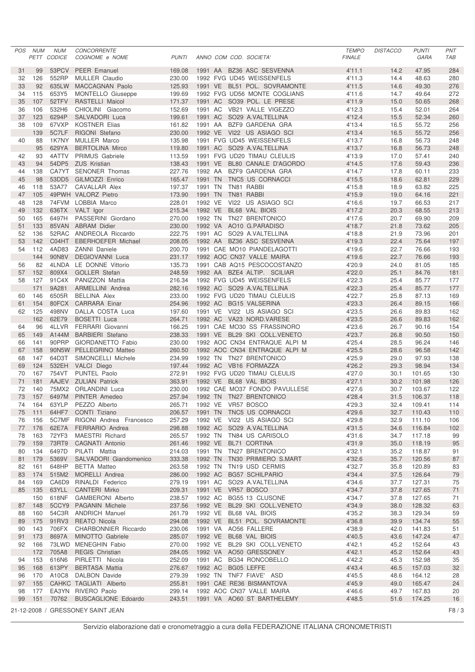| 47.95<br>99<br>53PCV<br><b>PEER Emanuel</b><br>169.08<br>1991 AA BZ36 ASC SESVENNA<br>4'11.1<br>14.2<br>284<br>31<br>126<br>552RP<br><b>MULLER Claudio</b><br>230.00<br>1992 FVG UD45 WEISSENFELS<br>4'11.3<br>14.4<br>48.63<br>280<br>32<br>4'11.5<br>635LW<br>125.93<br>1991 VE BL51 POL. SOVRAMONTE<br>14.6<br>49.30<br>276<br>33<br>92<br>MACCAGNAN Paolo<br>115<br>653Y5<br>199.69<br>1992 FVG UD56 MONTE COGLIANS<br>4'11.6<br>14.7<br>272<br>34<br>MONTELLO Giuseppe<br>49.64<br>107<br>52TFV<br>1991 AC SO39 POL. LE PRESE<br>4'11.9<br>15.0<br>268<br>35<br>RASTELLI Maicol<br>171.37<br>50.65<br>532H6<br>CHIOLINI Giacomo<br>152.69<br>1991 AC VB21 VALLE VIGEZZO<br>4'12.3<br>15.4<br>52.01<br>36<br>106<br>264<br>37<br>123<br>6294P<br>199.61<br>1991 AC<br>SO29 A.VALTELLINA<br>4'12.4<br>15.5<br>52.34<br>260<br>SALVADORI Luca<br>67VXP<br>109<br><b>KOSTNER Elias</b><br>161.82<br>1991 AA<br>BZF9 GARDENA GRA<br>4'13.4<br>16.5<br>55.72<br>256<br>38<br>5C7LF<br>4'13.4<br>16.5<br>55.72<br>256<br>139<br>RIGONI Stefano<br>230.00<br>1992 VE VI22 US ASIAGO SCI<br>88<br>1K7NY<br>135.98<br>1991 FVG UD45 WEISSENFELS<br>4'13.7<br>16.8<br>56.73<br>40<br><b>MULLER Marco</b><br>248<br>95<br>629YA<br>119.80<br>1991 AC SO29 A.VALTELLINA<br>4'13.7<br>16.8<br>56.73<br>248<br><b>BERTOLINA Mirco</b><br>93<br>4ATTV<br>PRIMUS Gabriele<br>113.59<br>1991 FVG UD20 TIMAU CLEULIS<br>4'13.9<br>17.0<br>57.41<br>42<br>240<br>94<br>54DP5<br><b>ZUS Kristian</b><br>1991 VE BL80 CANALE D'AGORDO<br>4'14.5<br>17.6<br>59.43<br>236<br>43<br>138.43<br>CA7YT SENONER Thomas<br>227.76<br>1992 AA BZF9 GARDENA GRA<br>4'14.7<br>17.8<br>44<br>138<br>60.11<br>233<br>45<br>98<br>53DD5<br>GILMOZZI Enrico<br>165.47<br>1991 TN<br>TNC5 US CORNACCI<br>4'15.5<br>18.6<br>62.81<br>229<br>118<br>53A77<br>CAVALLAR Alex<br>197.37<br>1991 TN<br>TN81 RABBI<br>4'15.8<br>18.9<br>63.82<br>225<br>46<br>105<br>49PWH VALORZ Pietro<br>TN81 RABBI<br>4'15.9<br>19.0<br>221<br>47<br>173.90<br>1991 TN<br>64.16<br>128<br>74FVM LOBBIA Marco<br>228.01<br>1992 VE<br>VI22 US ASIAGO SCI<br>4'16.6<br>19.7<br>66.53<br>217<br>48<br>4'17.2<br>20.3<br>636TX VALT Igor<br>215.34<br>1992 VE BL68 VAL BIOIS<br>68.55<br>213<br>49<br>132<br>165<br>6497H<br>PASSERINI Giordano<br>270.00<br>1992 TN<br>TN27 BRENTONICO<br>4'17.6<br>20.7<br>209<br>50<br>69.90<br>133<br>85VAN ABRAM Didier<br>AO10 G.PARADISO<br>4'18.7<br>21.8<br>73.62<br>205<br>51<br>230.00<br>1992 VA<br>222.75<br>52RAC ANDREOLA Riccardo<br>1991 AC<br>SO29 A.VALTELLINA<br>4'18.8<br>21.9<br>73.96<br>52<br>136<br>201<br>53<br>142<br>C04HT<br>208.05<br>1992 AA BZ36 ASC SESVENNA<br>22.4<br>75.64<br>197<br><b>EBERHOEFER Michael</b><br>4'19.3<br>4AD83<br><b>ZANNI Daniele</b><br>200.70<br>1991 CAE MO10 PIANDELAGOTTI<br>4'19.6<br>22.7<br>76.66<br>54<br>112<br>193<br>22.7<br>144<br>90N8V<br>231.17<br>4'19.6<br><b>DEGIOVANNI Luca</b><br>1992 AOC CN37 VALLE MAIRA<br>76.66<br>193<br>82<br>4LNDA LE DONNE Vittorio<br>135.73<br>1991 CAB AQ15 PESCOCOSTANZO<br>4'20.9<br>24.0<br>81.05<br>185<br>56<br>25.1<br>57<br>152<br>809X4<br>248.59<br>4'22.0<br>84.76<br>181<br><b>GOLLER Stefan</b><br>1992 AA BZE4 ALTIP. SCILIAR<br>127<br>91C4X PANIZZON Mattia<br>216.34<br>1992 FVG UD45 WEISSENFELS<br>4'22.3<br>25.4<br>85.77<br>58<br>177<br>25.4<br>171<br>9A281<br>282.16<br>1992 AC SO29 A.VALTELLINA<br>4'22.3<br>85.77<br>177<br>ARMELLINI Andrea<br>146<br>6505R<br><b>BELLINA Alex</b><br>233.00<br>1992 FVG UD20 TIMAU CLEULIS<br>4'22.7<br>25.8<br>87.13<br>60<br>169<br>154<br>80FCX<br>254.96<br>1992 AC BG15 VALSERINA<br>4'23.3<br>26.4<br>89.15<br>166<br>61<br><b>CARRARA Einar</b><br>125<br>498NV<br>DALLA COSTA Luca<br>197.60<br>1991 VE VI22 US ASIAGO SCI<br>4'23.5<br>26.6<br>89.83<br>62<br>162<br>162<br>62E79<br><b>BOSETTI Luca</b><br>264.71<br>1992 AC VA23 NORD.VARESE<br>4'23.5<br>26.6<br>162<br>89.83<br>96<br>4LLVR<br>FERRARI Giovanni<br>166.25<br>1991 CAE MO30 SS FRASSINORO<br>4'23.6<br>26.7<br>154<br>64<br>90.16<br>4'23.7<br>A144M<br><b>BARBIERI</b> Stefano<br>238.33<br>1991 VE BL29 SKI COLL.VENETO<br>26.8<br>90.50<br>150<br>65<br>149<br>141<br>90PRP<br>GIORDANETTO Fabio<br>230.00<br>1992 AOC CN34 ENTRAQUE ALPI M<br>4'25.4<br>28.5<br>66<br>96.24<br>146<br>158<br>90N5W PELLEGRINO Matteo<br>260.50<br>4'25.5<br>28.6<br>142<br>67<br>1992 AOC CN34 ENTRAQUE ALPI M<br>96.58<br>64D3T<br>234.99<br>1992 TN TN27 BRENTONICO<br>4'25.9<br>29.0<br>97.93<br>68<br>147<br>SIMONCELLI Michele<br>138<br>124<br>532EH<br>VALCI Diego<br>197.44<br>1992 AC VB16 FORMAZZA<br>4'26.2<br>29.3<br>98.94<br>134<br>69<br>167<br>754VT<br>PUNTEL Paolo<br>272.91<br>1992 FVG UD20 TIMAU CLEULIS<br>4'27.0<br>30.1<br>70<br>101.65<br>130<br>71<br>AAJEV ZULIAN Patrick<br>363.91<br>4'27.1<br>30.2<br>126<br>181<br>1992 VE BL68 VAL BIOIS<br>101.98<br>140<br>75MX2<br>230.00<br>1992 CAE MO37 FONDO PAVULLESE<br>4'27.6<br>30.7<br>122<br>72<br><b>ORLANDINI</b> Luca<br>103.67<br>31.5<br>73<br>157<br>6497M<br>257.94<br>1992 TN TN27 BRENTONICO<br>4'28.4<br>PINTER Amedeo<br>106.37<br>118<br>63YLP PEZZO Alberto<br>265.71<br>1992 VE VR57 BOSCO<br>164<br>32.4<br>114<br>74<br>4'29.3<br>109.41<br>64HF7<br>CONTI Tiziano<br>206.57<br>1991 TN TNC5 US CORNACCI<br>4'29.6<br>75<br>111<br>32.7<br>110.43<br>110<br>5C7MF RIGONI Andrea Francesco<br>257.29<br>1992 VE VI22 US ASIAGO SCI<br>4'29.8<br>32.9<br>111.10<br>76<br>156<br>106<br>1992 AC SO29 A.VALTELLINA<br>77<br>176<br>62E7A<br>FERRARIO Andrea<br>298.88<br>4'31.5<br>34.6<br>116.84<br>102<br>163<br>72YF3<br>MAESTRI Richard<br>265.57<br>1992 TN<br>TN84 US CARISOLO<br>4'31.6<br>34.7<br>117.18<br>99<br>78<br>159<br>73RT9<br>CAGNATI Antonio<br>261.46<br>1992 VE BL71 CORTINA<br>4'31.9<br>35.0<br>118.19<br>95<br>79<br>134<br>6497D<br>PILATI Mattia<br>214.03<br>1991 TN TN27 BRENTONICO<br>4'32.1<br>35.2<br>118.87<br>91<br>80<br>179<br>5369V<br>SALVADORI Giandomenico<br>333.38<br>1992 TN TN30 PRIMIERO S.MART<br>4'32.6<br>35.7<br>120.56<br>87<br>81<br>648HP<br>161<br><b>BETTA Matteo</b><br>263.58<br>1992 TN<br>TN19 USD CERMIS<br>4'32.7<br>35.8<br>120.89<br>83<br>82<br>174<br>515M2<br>MORELLI Andrea<br>286.00<br>1992 AC BG57 SCHILPARIO<br>4'34.4<br>37.5<br>126.64<br>79<br>83<br>CA6D9<br>RINALDI Federico<br>279.19<br>1991 AC<br>SO29 A.VALTELLINA<br>4'34.6<br>37.7<br>127.31<br>75<br>84<br>169<br>71<br>85<br>135<br>63YLL<br>CANTERI Mirko<br>209.31<br>1991 VE VR57 BOSCO<br>4'34.7<br>37.8<br>127.65<br>618NF<br>238.57<br>1992 AC BG55 13 CLUSONE<br>4'34.7<br>37.8<br>127.65<br>71<br>150<br><b>GAMBERONI Alberto</b><br>148<br>5CCY9 PAGANIN Michele<br>237.56<br>1992 VE BL29 SKI COLL.VENETO<br>4'34.9<br>38.0<br>128.32<br>63<br>87<br>54C3R ANDRICH Manuel<br>261.79<br>1992 VE BL68 VAL BIOIS<br>4'35.2<br>38.3<br>129.34<br>59<br>88<br>160<br>55<br>175<br>91RV3<br>REATO Nicola<br>294.08<br>1992 VE BL51 POL. SOVRAMONTE<br>4'36.8<br>39.9<br>134.74<br>89<br>143<br>706FX<br>CHARBONNIER Riccardo<br>230.06<br>1991 VA AO56 FALLERE<br>4'38.9<br>42.0<br>141.83<br>51<br>90<br>1992 VE BL68 VAL BIOIS<br>4'40.5<br>147.24<br>47<br>173<br>8697A<br>MINOTTO Gabriele<br>285.07<br>43.6<br>91<br>73LWD MENEGHIN Fabio<br>270.00<br>1992 VE BL29 SKI COLL.VENETO<br>4'42.1<br>45.2<br>152.64<br>92<br>166<br>43<br>705A8<br><b>REGIS Christian</b><br>284.05<br>1992 VA AO50 GRESSONEY<br>45.2<br>152.64<br>172<br>4'42.1<br>43<br>616N6<br>PIRLETTI Nicola<br>252.09<br>1991 AC BG34 RONCOBELLO<br>4'42.2<br>45.3<br>152.98<br>94<br>153<br>35<br>32<br>95<br>168<br>613PY<br><b>BERTASA Mattia</b><br>276.67<br>1992 AC BG05 LEFFE<br>4'43.4<br>46.5<br>157.03<br>A10C8<br>DALBON Davide<br>279.39<br>1992 TN TNF7 FIAVE' ASD<br>4'45.5<br>48.6<br>164.12<br>28<br>96<br>170<br>97<br>CAHKC TAGLIATI Alberto<br>255.81<br>1991 CAE RE36 BISMANTOVA<br>4'45.9<br>49.0<br>165.47<br>24<br>155<br>177<br>EA3YN RIVERO Paolo<br>299.14<br>1992 AOC CN37 VALLE MAIRA<br>4'46.6<br>49.7<br>167.83<br>98<br>20<br>174.25<br>99<br>151<br>70762<br><b>BUSCAGLIONE Edoardo</b><br>243.51<br>1991 VA AO60 ST BARTHELEMY<br>4'48.5<br>51.6<br>16<br>21-12-2008 / GRESSONEY SAINT JEAN<br>F8/3 | POS | <b>NUM</b> | <b>NUM</b><br>PETT CODICE | CONCORRENTE<br>COGNOME e NOME | <b>PUNTI</b> |  | ANNO COM COD. SOCIETA' | <b>TEMPO</b><br><b>FINALE</b> | <b>DISTACCO</b> | <b>PUNTI</b><br>GARA | PNT<br><b>TAB</b> |
|----------------------------------------------------------------------------------------------------------------------------------------------------------------------------------------------------------------------------------------------------------------------------------------------------------------------------------------------------------------------------------------------------------------------------------------------------------------------------------------------------------------------------------------------------------------------------------------------------------------------------------------------------------------------------------------------------------------------------------------------------------------------------------------------------------------------------------------------------------------------------------------------------------------------------------------------------------------------------------------------------------------------------------------------------------------------------------------------------------------------------------------------------------------------------------------------------------------------------------------------------------------------------------------------------------------------------------------------------------------------------------------------------------------------------------------------------------------------------------------------------------------------------------------------------------------------------------------------------------------------------------------------------------------------------------------------------------------------------------------------------------------------------------------------------------------------------------------------------------------------------------------------------------------------------------------------------------------------------------------------------------------------------------------------------------------------------------------------------------------------------------------------------------------------------------------------------------------------------------------------------------------------------------------------------------------------------------------------------------------------------------------------------------------------------------------------------------------------------------------------------------------------------------------------------------------------------------------------------------------------------------------------------------------------------------------------------------------------------------------------------------------------------------------------------------------------------------------------------------------------------------------------------------------------------------------------------------------------------------------------------------------------------------------------------------------------------------------------------------------------------------------------------------------------------------------------------------------------------------------------------------------------------------------------------------------------------------------------------------------------------------------------------------------------------------------------------------------------------------------------------------------------------------------------------------------------------------------------------------------------------------------------------------------------------------------------------------------------------------------------------------------------------------------------------------------------------------------------------------------------------------------------------------------------------------------------------------------------------------------------------------------------------------------------------------------------------------------------------------------------------------------------------------------------------------------------------------------------------------------------------------------------------------------------------------------------------------------------------------------------------------------------------------------------------------------------------------------------------------------------------------------------------------------------------------------------------------------------------------------------------------------------------------------------------------------------------------------------------------------------------------------------------------------------------------------------------------------------------------------------------------------------------------------------------------------------------------------------------------------------------------------------------------------------------------------------------------------------------------------------------------------------------------------------------------------------------------------------------------------------------------------------------------------------------------------------------------------------------------------------------------------------------------------------------------------------------------------------------------------------------------------------------------------------------------------------------------------------------------------------------------------------------------------------------------------------------------------------------------------------------------------------------------------------------------------------------------------------------------------------------------------------------------------------------------------------------------------------------------------------------------------------------------------------------------------------------------------------------------------------------------------------------------------------------------------------------------------------------------------------------------------------------------------------------------------------------------------------------------------------------------------------------------------------------------------------------------------------------------------------------------------------------------------------------------------------------------------------------------------------------------------------------------------------------------------------------------------------------------------------------------------------------------------------------------------------------------------------------------------------------------------------------------------------------------------------------------------------------------------------------------------------------------------------------------------------------------------------------------------------------------------------------------------------------------------------------------------------------------------------------------------------------------------------------------------------------------------------------------------------------------------------------------------------------------------------------------------------------------------------------------------------------------------------------------------------------------------------------------------------------------------------------------------------------------------------------------------------------------------------------------------------------------------------------------------------------------------------------------------------------------------------------------------------------------------------------------------------------------------------------------------------------------------------------------------------------------------------------------------------------------------------------------------------------------------------------------------------------------------------------------|-----|------------|---------------------------|-------------------------------|--------------|--|------------------------|-------------------------------|-----------------|----------------------|-------------------|
|                                                                                                                                                                                                                                                                                                                                                                                                                                                                                                                                                                                                                                                                                                                                                                                                                                                                                                                                                                                                                                                                                                                                                                                                                                                                                                                                                                                                                                                                                                                                                                                                                                                                                                                                                                                                                                                                                                                                                                                                                                                                                                                                                                                                                                                                                                                                                                                                                                                                                                                                                                                                                                                                                                                                                                                                                                                                                                                                                                                                                                                                                                                                                                                                                                                                                                                                                                                                                                                                                                                                                                                                                                                                                                                                                                                                                                                                                                                                                                                                                                                                                                                                                                                                                                                                                                                                                                                                                                                                                                                                                                                                                                                                                                                                                                                                                                                                                                                                                                                                                                                                                                                                                                                                                                                                                                                                                                                                                                                                                                                                                                                                                                                                                                                                                                                                                                                                                                                                                                                                                                                                                                                                                                                                                                                                                                                                                                                                                                                                                                                                                                                                                                                                                                                                                                                                                                                                                                                                                                                                                                                                                                                                                                                                                                                                                                                                                                                                                                                                                                                                                                                                                                                                                                                                                                                                                                                                                                                                                                                                                                                                                                                                                                                                                                                          |     |            |                           |                               |              |  |                        |                               |                 |                      |                   |
|                                                                                                                                                                                                                                                                                                                                                                                                                                                                                                                                                                                                                                                                                                                                                                                                                                                                                                                                                                                                                                                                                                                                                                                                                                                                                                                                                                                                                                                                                                                                                                                                                                                                                                                                                                                                                                                                                                                                                                                                                                                                                                                                                                                                                                                                                                                                                                                                                                                                                                                                                                                                                                                                                                                                                                                                                                                                                                                                                                                                                                                                                                                                                                                                                                                                                                                                                                                                                                                                                                                                                                                                                                                                                                                                                                                                                                                                                                                                                                                                                                                                                                                                                                                                                                                                                                                                                                                                                                                                                                                                                                                                                                                                                                                                                                                                                                                                                                                                                                                                                                                                                                                                                                                                                                                                                                                                                                                                                                                                                                                                                                                                                                                                                                                                                                                                                                                                                                                                                                                                                                                                                                                                                                                                                                                                                                                                                                                                                                                                                                                                                                                                                                                                                                                                                                                                                                                                                                                                                                                                                                                                                                                                                                                                                                                                                                                                                                                                                                                                                                                                                                                                                                                                                                                                                                                                                                                                                                                                                                                                                                                                                                                                                                                                                                                          |     |            |                           |                               |              |  |                        |                               |                 |                      |                   |
|                                                                                                                                                                                                                                                                                                                                                                                                                                                                                                                                                                                                                                                                                                                                                                                                                                                                                                                                                                                                                                                                                                                                                                                                                                                                                                                                                                                                                                                                                                                                                                                                                                                                                                                                                                                                                                                                                                                                                                                                                                                                                                                                                                                                                                                                                                                                                                                                                                                                                                                                                                                                                                                                                                                                                                                                                                                                                                                                                                                                                                                                                                                                                                                                                                                                                                                                                                                                                                                                                                                                                                                                                                                                                                                                                                                                                                                                                                                                                                                                                                                                                                                                                                                                                                                                                                                                                                                                                                                                                                                                                                                                                                                                                                                                                                                                                                                                                                                                                                                                                                                                                                                                                                                                                                                                                                                                                                                                                                                                                                                                                                                                                                                                                                                                                                                                                                                                                                                                                                                                                                                                                                                                                                                                                                                                                                                                                                                                                                                                                                                                                                                                                                                                                                                                                                                                                                                                                                                                                                                                                                                                                                                                                                                                                                                                                                                                                                                                                                                                                                                                                                                                                                                                                                                                                                                                                                                                                                                                                                                                                                                                                                                                                                                                                                                          |     |            |                           |                               |              |  |                        |                               |                 |                      |                   |
|                                                                                                                                                                                                                                                                                                                                                                                                                                                                                                                                                                                                                                                                                                                                                                                                                                                                                                                                                                                                                                                                                                                                                                                                                                                                                                                                                                                                                                                                                                                                                                                                                                                                                                                                                                                                                                                                                                                                                                                                                                                                                                                                                                                                                                                                                                                                                                                                                                                                                                                                                                                                                                                                                                                                                                                                                                                                                                                                                                                                                                                                                                                                                                                                                                                                                                                                                                                                                                                                                                                                                                                                                                                                                                                                                                                                                                                                                                                                                                                                                                                                                                                                                                                                                                                                                                                                                                                                                                                                                                                                                                                                                                                                                                                                                                                                                                                                                                                                                                                                                                                                                                                                                                                                                                                                                                                                                                                                                                                                                                                                                                                                                                                                                                                                                                                                                                                                                                                                                                                                                                                                                                                                                                                                                                                                                                                                                                                                                                                                                                                                                                                                                                                                                                                                                                                                                                                                                                                                                                                                                                                                                                                                                                                                                                                                                                                                                                                                                                                                                                                                                                                                                                                                                                                                                                                                                                                                                                                                                                                                                                                                                                                                                                                                                                                          |     |            |                           |                               |              |  |                        |                               |                 |                      |                   |
|                                                                                                                                                                                                                                                                                                                                                                                                                                                                                                                                                                                                                                                                                                                                                                                                                                                                                                                                                                                                                                                                                                                                                                                                                                                                                                                                                                                                                                                                                                                                                                                                                                                                                                                                                                                                                                                                                                                                                                                                                                                                                                                                                                                                                                                                                                                                                                                                                                                                                                                                                                                                                                                                                                                                                                                                                                                                                                                                                                                                                                                                                                                                                                                                                                                                                                                                                                                                                                                                                                                                                                                                                                                                                                                                                                                                                                                                                                                                                                                                                                                                                                                                                                                                                                                                                                                                                                                                                                                                                                                                                                                                                                                                                                                                                                                                                                                                                                                                                                                                                                                                                                                                                                                                                                                                                                                                                                                                                                                                                                                                                                                                                                                                                                                                                                                                                                                                                                                                                                                                                                                                                                                                                                                                                                                                                                                                                                                                                                                                                                                                                                                                                                                                                                                                                                                                                                                                                                                                                                                                                                                                                                                                                                                                                                                                                                                                                                                                                                                                                                                                                                                                                                                                                                                                                                                                                                                                                                                                                                                                                                                                                                                                                                                                                                                          |     |            |                           |                               |              |  |                        |                               |                 |                      |                   |
|                                                                                                                                                                                                                                                                                                                                                                                                                                                                                                                                                                                                                                                                                                                                                                                                                                                                                                                                                                                                                                                                                                                                                                                                                                                                                                                                                                                                                                                                                                                                                                                                                                                                                                                                                                                                                                                                                                                                                                                                                                                                                                                                                                                                                                                                                                                                                                                                                                                                                                                                                                                                                                                                                                                                                                                                                                                                                                                                                                                                                                                                                                                                                                                                                                                                                                                                                                                                                                                                                                                                                                                                                                                                                                                                                                                                                                                                                                                                                                                                                                                                                                                                                                                                                                                                                                                                                                                                                                                                                                                                                                                                                                                                                                                                                                                                                                                                                                                                                                                                                                                                                                                                                                                                                                                                                                                                                                                                                                                                                                                                                                                                                                                                                                                                                                                                                                                                                                                                                                                                                                                                                                                                                                                                                                                                                                                                                                                                                                                                                                                                                                                                                                                                                                                                                                                                                                                                                                                                                                                                                                                                                                                                                                                                                                                                                                                                                                                                                                                                                                                                                                                                                                                                                                                                                                                                                                                                                                                                                                                                                                                                                                                                                                                                                                                          |     |            |                           |                               |              |  |                        |                               |                 |                      |                   |
|                                                                                                                                                                                                                                                                                                                                                                                                                                                                                                                                                                                                                                                                                                                                                                                                                                                                                                                                                                                                                                                                                                                                                                                                                                                                                                                                                                                                                                                                                                                                                                                                                                                                                                                                                                                                                                                                                                                                                                                                                                                                                                                                                                                                                                                                                                                                                                                                                                                                                                                                                                                                                                                                                                                                                                                                                                                                                                                                                                                                                                                                                                                                                                                                                                                                                                                                                                                                                                                                                                                                                                                                                                                                                                                                                                                                                                                                                                                                                                                                                                                                                                                                                                                                                                                                                                                                                                                                                                                                                                                                                                                                                                                                                                                                                                                                                                                                                                                                                                                                                                                                                                                                                                                                                                                                                                                                                                                                                                                                                                                                                                                                                                                                                                                                                                                                                                                                                                                                                                                                                                                                                                                                                                                                                                                                                                                                                                                                                                                                                                                                                                                                                                                                                                                                                                                                                                                                                                                                                                                                                                                                                                                                                                                                                                                                                                                                                                                                                                                                                                                                                                                                                                                                                                                                                                                                                                                                                                                                                                                                                                                                                                                                                                                                                                                          |     |            |                           |                               |              |  |                        |                               |                 |                      |                   |
|                                                                                                                                                                                                                                                                                                                                                                                                                                                                                                                                                                                                                                                                                                                                                                                                                                                                                                                                                                                                                                                                                                                                                                                                                                                                                                                                                                                                                                                                                                                                                                                                                                                                                                                                                                                                                                                                                                                                                                                                                                                                                                                                                                                                                                                                                                                                                                                                                                                                                                                                                                                                                                                                                                                                                                                                                                                                                                                                                                                                                                                                                                                                                                                                                                                                                                                                                                                                                                                                                                                                                                                                                                                                                                                                                                                                                                                                                                                                                                                                                                                                                                                                                                                                                                                                                                                                                                                                                                                                                                                                                                                                                                                                                                                                                                                                                                                                                                                                                                                                                                                                                                                                                                                                                                                                                                                                                                                                                                                                                                                                                                                                                                                                                                                                                                                                                                                                                                                                                                                                                                                                                                                                                                                                                                                                                                                                                                                                                                                                                                                                                                                                                                                                                                                                                                                                                                                                                                                                                                                                                                                                                                                                                                                                                                                                                                                                                                                                                                                                                                                                                                                                                                                                                                                                                                                                                                                                                                                                                                                                                                                                                                                                                                                                                                                          |     |            |                           |                               |              |  |                        |                               |                 |                      |                   |
|                                                                                                                                                                                                                                                                                                                                                                                                                                                                                                                                                                                                                                                                                                                                                                                                                                                                                                                                                                                                                                                                                                                                                                                                                                                                                                                                                                                                                                                                                                                                                                                                                                                                                                                                                                                                                                                                                                                                                                                                                                                                                                                                                                                                                                                                                                                                                                                                                                                                                                                                                                                                                                                                                                                                                                                                                                                                                                                                                                                                                                                                                                                                                                                                                                                                                                                                                                                                                                                                                                                                                                                                                                                                                                                                                                                                                                                                                                                                                                                                                                                                                                                                                                                                                                                                                                                                                                                                                                                                                                                                                                                                                                                                                                                                                                                                                                                                                                                                                                                                                                                                                                                                                                                                                                                                                                                                                                                                                                                                                                                                                                                                                                                                                                                                                                                                                                                                                                                                                                                                                                                                                                                                                                                                                                                                                                                                                                                                                                                                                                                                                                                                                                                                                                                                                                                                                                                                                                                                                                                                                                                                                                                                                                                                                                                                                                                                                                                                                                                                                                                                                                                                                                                                                                                                                                                                                                                                                                                                                                                                                                                                                                                                                                                                                                                          |     |            |                           |                               |              |  |                        |                               |                 |                      |                   |
|                                                                                                                                                                                                                                                                                                                                                                                                                                                                                                                                                                                                                                                                                                                                                                                                                                                                                                                                                                                                                                                                                                                                                                                                                                                                                                                                                                                                                                                                                                                                                                                                                                                                                                                                                                                                                                                                                                                                                                                                                                                                                                                                                                                                                                                                                                                                                                                                                                                                                                                                                                                                                                                                                                                                                                                                                                                                                                                                                                                                                                                                                                                                                                                                                                                                                                                                                                                                                                                                                                                                                                                                                                                                                                                                                                                                                                                                                                                                                                                                                                                                                                                                                                                                                                                                                                                                                                                                                                                                                                                                                                                                                                                                                                                                                                                                                                                                                                                                                                                                                                                                                                                                                                                                                                                                                                                                                                                                                                                                                                                                                                                                                                                                                                                                                                                                                                                                                                                                                                                                                                                                                                                                                                                                                                                                                                                                                                                                                                                                                                                                                                                                                                                                                                                                                                                                                                                                                                                                                                                                                                                                                                                                                                                                                                                                                                                                                                                                                                                                                                                                                                                                                                                                                                                                                                                                                                                                                                                                                                                                                                                                                                                                                                                                                                                          |     |            |                           |                               |              |  |                        |                               |                 |                      |                   |
|                                                                                                                                                                                                                                                                                                                                                                                                                                                                                                                                                                                                                                                                                                                                                                                                                                                                                                                                                                                                                                                                                                                                                                                                                                                                                                                                                                                                                                                                                                                                                                                                                                                                                                                                                                                                                                                                                                                                                                                                                                                                                                                                                                                                                                                                                                                                                                                                                                                                                                                                                                                                                                                                                                                                                                                                                                                                                                                                                                                                                                                                                                                                                                                                                                                                                                                                                                                                                                                                                                                                                                                                                                                                                                                                                                                                                                                                                                                                                                                                                                                                                                                                                                                                                                                                                                                                                                                                                                                                                                                                                                                                                                                                                                                                                                                                                                                                                                                                                                                                                                                                                                                                                                                                                                                                                                                                                                                                                                                                                                                                                                                                                                                                                                                                                                                                                                                                                                                                                                                                                                                                                                                                                                                                                                                                                                                                                                                                                                                                                                                                                                                                                                                                                                                                                                                                                                                                                                                                                                                                                                                                                                                                                                                                                                                                                                                                                                                                                                                                                                                                                                                                                                                                                                                                                                                                                                                                                                                                                                                                                                                                                                                                                                                                                                                          |     |            |                           |                               |              |  |                        |                               |                 |                      |                   |
|                                                                                                                                                                                                                                                                                                                                                                                                                                                                                                                                                                                                                                                                                                                                                                                                                                                                                                                                                                                                                                                                                                                                                                                                                                                                                                                                                                                                                                                                                                                                                                                                                                                                                                                                                                                                                                                                                                                                                                                                                                                                                                                                                                                                                                                                                                                                                                                                                                                                                                                                                                                                                                                                                                                                                                                                                                                                                                                                                                                                                                                                                                                                                                                                                                                                                                                                                                                                                                                                                                                                                                                                                                                                                                                                                                                                                                                                                                                                                                                                                                                                                                                                                                                                                                                                                                                                                                                                                                                                                                                                                                                                                                                                                                                                                                                                                                                                                                                                                                                                                                                                                                                                                                                                                                                                                                                                                                                                                                                                                                                                                                                                                                                                                                                                                                                                                                                                                                                                                                                                                                                                                                                                                                                                                                                                                                                                                                                                                                                                                                                                                                                                                                                                                                                                                                                                                                                                                                                                                                                                                                                                                                                                                                                                                                                                                                                                                                                                                                                                                                                                                                                                                                                                                                                                                                                                                                                                                                                                                                                                                                                                                                                                                                                                                                                          |     |            |                           |                               |              |  |                        |                               |                 |                      |                   |
|                                                                                                                                                                                                                                                                                                                                                                                                                                                                                                                                                                                                                                                                                                                                                                                                                                                                                                                                                                                                                                                                                                                                                                                                                                                                                                                                                                                                                                                                                                                                                                                                                                                                                                                                                                                                                                                                                                                                                                                                                                                                                                                                                                                                                                                                                                                                                                                                                                                                                                                                                                                                                                                                                                                                                                                                                                                                                                                                                                                                                                                                                                                                                                                                                                                                                                                                                                                                                                                                                                                                                                                                                                                                                                                                                                                                                                                                                                                                                                                                                                                                                                                                                                                                                                                                                                                                                                                                                                                                                                                                                                                                                                                                                                                                                                                                                                                                                                                                                                                                                                                                                                                                                                                                                                                                                                                                                                                                                                                                                                                                                                                                                                                                                                                                                                                                                                                                                                                                                                                                                                                                                                                                                                                                                                                                                                                                                                                                                                                                                                                                                                                                                                                                                                                                                                                                                                                                                                                                                                                                                                                                                                                                                                                                                                                                                                                                                                                                                                                                                                                                                                                                                                                                                                                                                                                                                                                                                                                                                                                                                                                                                                                                                                                                                                                          |     |            |                           |                               |              |  |                        |                               |                 |                      |                   |
|                                                                                                                                                                                                                                                                                                                                                                                                                                                                                                                                                                                                                                                                                                                                                                                                                                                                                                                                                                                                                                                                                                                                                                                                                                                                                                                                                                                                                                                                                                                                                                                                                                                                                                                                                                                                                                                                                                                                                                                                                                                                                                                                                                                                                                                                                                                                                                                                                                                                                                                                                                                                                                                                                                                                                                                                                                                                                                                                                                                                                                                                                                                                                                                                                                                                                                                                                                                                                                                                                                                                                                                                                                                                                                                                                                                                                                                                                                                                                                                                                                                                                                                                                                                                                                                                                                                                                                                                                                                                                                                                                                                                                                                                                                                                                                                                                                                                                                                                                                                                                                                                                                                                                                                                                                                                                                                                                                                                                                                                                                                                                                                                                                                                                                                                                                                                                                                                                                                                                                                                                                                                                                                                                                                                                                                                                                                                                                                                                                                                                                                                                                                                                                                                                                                                                                                                                                                                                                                                                                                                                                                                                                                                                                                                                                                                                                                                                                                                                                                                                                                                                                                                                                                                                                                                                                                                                                                                                                                                                                                                                                                                                                                                                                                                                                                          |     |            |                           |                               |              |  |                        |                               |                 |                      |                   |
|                                                                                                                                                                                                                                                                                                                                                                                                                                                                                                                                                                                                                                                                                                                                                                                                                                                                                                                                                                                                                                                                                                                                                                                                                                                                                                                                                                                                                                                                                                                                                                                                                                                                                                                                                                                                                                                                                                                                                                                                                                                                                                                                                                                                                                                                                                                                                                                                                                                                                                                                                                                                                                                                                                                                                                                                                                                                                                                                                                                                                                                                                                                                                                                                                                                                                                                                                                                                                                                                                                                                                                                                                                                                                                                                                                                                                                                                                                                                                                                                                                                                                                                                                                                                                                                                                                                                                                                                                                                                                                                                                                                                                                                                                                                                                                                                                                                                                                                                                                                                                                                                                                                                                                                                                                                                                                                                                                                                                                                                                                                                                                                                                                                                                                                                                                                                                                                                                                                                                                                                                                                                                                                                                                                                                                                                                                                                                                                                                                                                                                                                                                                                                                                                                                                                                                                                                                                                                                                                                                                                                                                                                                                                                                                                                                                                                                                                                                                                                                                                                                                                                                                                                                                                                                                                                                                                                                                                                                                                                                                                                                                                                                                                                                                                                                                          |     |            |                           |                               |              |  |                        |                               |                 |                      |                   |
|                                                                                                                                                                                                                                                                                                                                                                                                                                                                                                                                                                                                                                                                                                                                                                                                                                                                                                                                                                                                                                                                                                                                                                                                                                                                                                                                                                                                                                                                                                                                                                                                                                                                                                                                                                                                                                                                                                                                                                                                                                                                                                                                                                                                                                                                                                                                                                                                                                                                                                                                                                                                                                                                                                                                                                                                                                                                                                                                                                                                                                                                                                                                                                                                                                                                                                                                                                                                                                                                                                                                                                                                                                                                                                                                                                                                                                                                                                                                                                                                                                                                                                                                                                                                                                                                                                                                                                                                                                                                                                                                                                                                                                                                                                                                                                                                                                                                                                                                                                                                                                                                                                                                                                                                                                                                                                                                                                                                                                                                                                                                                                                                                                                                                                                                                                                                                                                                                                                                                                                                                                                                                                                                                                                                                                                                                                                                                                                                                                                                                                                                                                                                                                                                                                                                                                                                                                                                                                                                                                                                                                                                                                                                                                                                                                                                                                                                                                                                                                                                                                                                                                                                                                                                                                                                                                                                                                                                                                                                                                                                                                                                                                                                                                                                                                                          |     |            |                           |                               |              |  |                        |                               |                 |                      |                   |
|                                                                                                                                                                                                                                                                                                                                                                                                                                                                                                                                                                                                                                                                                                                                                                                                                                                                                                                                                                                                                                                                                                                                                                                                                                                                                                                                                                                                                                                                                                                                                                                                                                                                                                                                                                                                                                                                                                                                                                                                                                                                                                                                                                                                                                                                                                                                                                                                                                                                                                                                                                                                                                                                                                                                                                                                                                                                                                                                                                                                                                                                                                                                                                                                                                                                                                                                                                                                                                                                                                                                                                                                                                                                                                                                                                                                                                                                                                                                                                                                                                                                                                                                                                                                                                                                                                                                                                                                                                                                                                                                                                                                                                                                                                                                                                                                                                                                                                                                                                                                                                                                                                                                                                                                                                                                                                                                                                                                                                                                                                                                                                                                                                                                                                                                                                                                                                                                                                                                                                                                                                                                                                                                                                                                                                                                                                                                                                                                                                                                                                                                                                                                                                                                                                                                                                                                                                                                                                                                                                                                                                                                                                                                                                                                                                                                                                                                                                                                                                                                                                                                                                                                                                                                                                                                                                                                                                                                                                                                                                                                                                                                                                                                                                                                                                                          |     |            |                           |                               |              |  |                        |                               |                 |                      |                   |
|                                                                                                                                                                                                                                                                                                                                                                                                                                                                                                                                                                                                                                                                                                                                                                                                                                                                                                                                                                                                                                                                                                                                                                                                                                                                                                                                                                                                                                                                                                                                                                                                                                                                                                                                                                                                                                                                                                                                                                                                                                                                                                                                                                                                                                                                                                                                                                                                                                                                                                                                                                                                                                                                                                                                                                                                                                                                                                                                                                                                                                                                                                                                                                                                                                                                                                                                                                                                                                                                                                                                                                                                                                                                                                                                                                                                                                                                                                                                                                                                                                                                                                                                                                                                                                                                                                                                                                                                                                                                                                                                                                                                                                                                                                                                                                                                                                                                                                                                                                                                                                                                                                                                                                                                                                                                                                                                                                                                                                                                                                                                                                                                                                                                                                                                                                                                                                                                                                                                                                                                                                                                                                                                                                                                                                                                                                                                                                                                                                                                                                                                                                                                                                                                                                                                                                                                                                                                                                                                                                                                                                                                                                                                                                                                                                                                                                                                                                                                                                                                                                                                                                                                                                                                                                                                                                                                                                                                                                                                                                                                                                                                                                                                                                                                                                                          |     |            |                           |                               |              |  |                        |                               |                 |                      |                   |
|                                                                                                                                                                                                                                                                                                                                                                                                                                                                                                                                                                                                                                                                                                                                                                                                                                                                                                                                                                                                                                                                                                                                                                                                                                                                                                                                                                                                                                                                                                                                                                                                                                                                                                                                                                                                                                                                                                                                                                                                                                                                                                                                                                                                                                                                                                                                                                                                                                                                                                                                                                                                                                                                                                                                                                                                                                                                                                                                                                                                                                                                                                                                                                                                                                                                                                                                                                                                                                                                                                                                                                                                                                                                                                                                                                                                                                                                                                                                                                                                                                                                                                                                                                                                                                                                                                                                                                                                                                                                                                                                                                                                                                                                                                                                                                                                                                                                                                                                                                                                                                                                                                                                                                                                                                                                                                                                                                                                                                                                                                                                                                                                                                                                                                                                                                                                                                                                                                                                                                                                                                                                                                                                                                                                                                                                                                                                                                                                                                                                                                                                                                                                                                                                                                                                                                                                                                                                                                                                                                                                                                                                                                                                                                                                                                                                                                                                                                                                                                                                                                                                                                                                                                                                                                                                                                                                                                                                                                                                                                                                                                                                                                                                                                                                                                                          |     |            |                           |                               |              |  |                        |                               |                 |                      |                   |
|                                                                                                                                                                                                                                                                                                                                                                                                                                                                                                                                                                                                                                                                                                                                                                                                                                                                                                                                                                                                                                                                                                                                                                                                                                                                                                                                                                                                                                                                                                                                                                                                                                                                                                                                                                                                                                                                                                                                                                                                                                                                                                                                                                                                                                                                                                                                                                                                                                                                                                                                                                                                                                                                                                                                                                                                                                                                                                                                                                                                                                                                                                                                                                                                                                                                                                                                                                                                                                                                                                                                                                                                                                                                                                                                                                                                                                                                                                                                                                                                                                                                                                                                                                                                                                                                                                                                                                                                                                                                                                                                                                                                                                                                                                                                                                                                                                                                                                                                                                                                                                                                                                                                                                                                                                                                                                                                                                                                                                                                                                                                                                                                                                                                                                                                                                                                                                                                                                                                                                                                                                                                                                                                                                                                                                                                                                                                                                                                                                                                                                                                                                                                                                                                                                                                                                                                                                                                                                                                                                                                                                                                                                                                                                                                                                                                                                                                                                                                                                                                                                                                                                                                                                                                                                                                                                                                                                                                                                                                                                                                                                                                                                                                                                                                                                                          |     |            |                           |                               |              |  |                        |                               |                 |                      |                   |
|                                                                                                                                                                                                                                                                                                                                                                                                                                                                                                                                                                                                                                                                                                                                                                                                                                                                                                                                                                                                                                                                                                                                                                                                                                                                                                                                                                                                                                                                                                                                                                                                                                                                                                                                                                                                                                                                                                                                                                                                                                                                                                                                                                                                                                                                                                                                                                                                                                                                                                                                                                                                                                                                                                                                                                                                                                                                                                                                                                                                                                                                                                                                                                                                                                                                                                                                                                                                                                                                                                                                                                                                                                                                                                                                                                                                                                                                                                                                                                                                                                                                                                                                                                                                                                                                                                                                                                                                                                                                                                                                                                                                                                                                                                                                                                                                                                                                                                                                                                                                                                                                                                                                                                                                                                                                                                                                                                                                                                                                                                                                                                                                                                                                                                                                                                                                                                                                                                                                                                                                                                                                                                                                                                                                                                                                                                                                                                                                                                                                                                                                                                                                                                                                                                                                                                                                                                                                                                                                                                                                                                                                                                                                                                                                                                                                                                                                                                                                                                                                                                                                                                                                                                                                                                                                                                                                                                                                                                                                                                                                                                                                                                                                                                                                                                                          |     |            |                           |                               |              |  |                        |                               |                 |                      |                   |
|                                                                                                                                                                                                                                                                                                                                                                                                                                                                                                                                                                                                                                                                                                                                                                                                                                                                                                                                                                                                                                                                                                                                                                                                                                                                                                                                                                                                                                                                                                                                                                                                                                                                                                                                                                                                                                                                                                                                                                                                                                                                                                                                                                                                                                                                                                                                                                                                                                                                                                                                                                                                                                                                                                                                                                                                                                                                                                                                                                                                                                                                                                                                                                                                                                                                                                                                                                                                                                                                                                                                                                                                                                                                                                                                                                                                                                                                                                                                                                                                                                                                                                                                                                                                                                                                                                                                                                                                                                                                                                                                                                                                                                                                                                                                                                                                                                                                                                                                                                                                                                                                                                                                                                                                                                                                                                                                                                                                                                                                                                                                                                                                                                                                                                                                                                                                                                                                                                                                                                                                                                                                                                                                                                                                                                                                                                                                                                                                                                                                                                                                                                                                                                                                                                                                                                                                                                                                                                                                                                                                                                                                                                                                                                                                                                                                                                                                                                                                                                                                                                                                                                                                                                                                                                                                                                                                                                                                                                                                                                                                                                                                                                                                                                                                                                                          |     |            |                           |                               |              |  |                        |                               |                 |                      |                   |
|                                                                                                                                                                                                                                                                                                                                                                                                                                                                                                                                                                                                                                                                                                                                                                                                                                                                                                                                                                                                                                                                                                                                                                                                                                                                                                                                                                                                                                                                                                                                                                                                                                                                                                                                                                                                                                                                                                                                                                                                                                                                                                                                                                                                                                                                                                                                                                                                                                                                                                                                                                                                                                                                                                                                                                                                                                                                                                                                                                                                                                                                                                                                                                                                                                                                                                                                                                                                                                                                                                                                                                                                                                                                                                                                                                                                                                                                                                                                                                                                                                                                                                                                                                                                                                                                                                                                                                                                                                                                                                                                                                                                                                                                                                                                                                                                                                                                                                                                                                                                                                                                                                                                                                                                                                                                                                                                                                                                                                                                                                                                                                                                                                                                                                                                                                                                                                                                                                                                                                                                                                                                                                                                                                                                                                                                                                                                                                                                                                                                                                                                                                                                                                                                                                                                                                                                                                                                                                                                                                                                                                                                                                                                                                                                                                                                                                                                                                                                                                                                                                                                                                                                                                                                                                                                                                                                                                                                                                                                                                                                                                                                                                                                                                                                                                                          |     |            |                           |                               |              |  |                        |                               |                 |                      |                   |
|                                                                                                                                                                                                                                                                                                                                                                                                                                                                                                                                                                                                                                                                                                                                                                                                                                                                                                                                                                                                                                                                                                                                                                                                                                                                                                                                                                                                                                                                                                                                                                                                                                                                                                                                                                                                                                                                                                                                                                                                                                                                                                                                                                                                                                                                                                                                                                                                                                                                                                                                                                                                                                                                                                                                                                                                                                                                                                                                                                                                                                                                                                                                                                                                                                                                                                                                                                                                                                                                                                                                                                                                                                                                                                                                                                                                                                                                                                                                                                                                                                                                                                                                                                                                                                                                                                                                                                                                                                                                                                                                                                                                                                                                                                                                                                                                                                                                                                                                                                                                                                                                                                                                                                                                                                                                                                                                                                                                                                                                                                                                                                                                                                                                                                                                                                                                                                                                                                                                                                                                                                                                                                                                                                                                                                                                                                                                                                                                                                                                                                                                                                                                                                                                                                                                                                                                                                                                                                                                                                                                                                                                                                                                                                                                                                                                                                                                                                                                                                                                                                                                                                                                                                                                                                                                                                                                                                                                                                                                                                                                                                                                                                                                                                                                                                                          |     |            |                           |                               |              |  |                        |                               |                 |                      |                   |
|                                                                                                                                                                                                                                                                                                                                                                                                                                                                                                                                                                                                                                                                                                                                                                                                                                                                                                                                                                                                                                                                                                                                                                                                                                                                                                                                                                                                                                                                                                                                                                                                                                                                                                                                                                                                                                                                                                                                                                                                                                                                                                                                                                                                                                                                                                                                                                                                                                                                                                                                                                                                                                                                                                                                                                                                                                                                                                                                                                                                                                                                                                                                                                                                                                                                                                                                                                                                                                                                                                                                                                                                                                                                                                                                                                                                                                                                                                                                                                                                                                                                                                                                                                                                                                                                                                                                                                                                                                                                                                                                                                                                                                                                                                                                                                                                                                                                                                                                                                                                                                                                                                                                                                                                                                                                                                                                                                                                                                                                                                                                                                                                                                                                                                                                                                                                                                                                                                                                                                                                                                                                                                                                                                                                                                                                                                                                                                                                                                                                                                                                                                                                                                                                                                                                                                                                                                                                                                                                                                                                                                                                                                                                                                                                                                                                                                                                                                                                                                                                                                                                                                                                                                                                                                                                                                                                                                                                                                                                                                                                                                                                                                                                                                                                                                                          |     |            |                           |                               |              |  |                        |                               |                 |                      |                   |
|                                                                                                                                                                                                                                                                                                                                                                                                                                                                                                                                                                                                                                                                                                                                                                                                                                                                                                                                                                                                                                                                                                                                                                                                                                                                                                                                                                                                                                                                                                                                                                                                                                                                                                                                                                                                                                                                                                                                                                                                                                                                                                                                                                                                                                                                                                                                                                                                                                                                                                                                                                                                                                                                                                                                                                                                                                                                                                                                                                                                                                                                                                                                                                                                                                                                                                                                                                                                                                                                                                                                                                                                                                                                                                                                                                                                                                                                                                                                                                                                                                                                                                                                                                                                                                                                                                                                                                                                                                                                                                                                                                                                                                                                                                                                                                                                                                                                                                                                                                                                                                                                                                                                                                                                                                                                                                                                                                                                                                                                                                                                                                                                                                                                                                                                                                                                                                                                                                                                                                                                                                                                                                                                                                                                                                                                                                                                                                                                                                                                                                                                                                                                                                                                                                                                                                                                                                                                                                                                                                                                                                                                                                                                                                                                                                                                                                                                                                                                                                                                                                                                                                                                                                                                                                                                                                                                                                                                                                                                                                                                                                                                                                                                                                                                                                                          |     |            |                           |                               |              |  |                        |                               |                 |                      |                   |
|                                                                                                                                                                                                                                                                                                                                                                                                                                                                                                                                                                                                                                                                                                                                                                                                                                                                                                                                                                                                                                                                                                                                                                                                                                                                                                                                                                                                                                                                                                                                                                                                                                                                                                                                                                                                                                                                                                                                                                                                                                                                                                                                                                                                                                                                                                                                                                                                                                                                                                                                                                                                                                                                                                                                                                                                                                                                                                                                                                                                                                                                                                                                                                                                                                                                                                                                                                                                                                                                                                                                                                                                                                                                                                                                                                                                                                                                                                                                                                                                                                                                                                                                                                                                                                                                                                                                                                                                                                                                                                                                                                                                                                                                                                                                                                                                                                                                                                                                                                                                                                                                                                                                                                                                                                                                                                                                                                                                                                                                                                                                                                                                                                                                                                                                                                                                                                                                                                                                                                                                                                                                                                                                                                                                                                                                                                                                                                                                                                                                                                                                                                                                                                                                                                                                                                                                                                                                                                                                                                                                                                                                                                                                                                                                                                                                                                                                                                                                                                                                                                                                                                                                                                                                                                                                                                                                                                                                                                                                                                                                                                                                                                                                                                                                                                                          |     |            |                           |                               |              |  |                        |                               |                 |                      |                   |
|                                                                                                                                                                                                                                                                                                                                                                                                                                                                                                                                                                                                                                                                                                                                                                                                                                                                                                                                                                                                                                                                                                                                                                                                                                                                                                                                                                                                                                                                                                                                                                                                                                                                                                                                                                                                                                                                                                                                                                                                                                                                                                                                                                                                                                                                                                                                                                                                                                                                                                                                                                                                                                                                                                                                                                                                                                                                                                                                                                                                                                                                                                                                                                                                                                                                                                                                                                                                                                                                                                                                                                                                                                                                                                                                                                                                                                                                                                                                                                                                                                                                                                                                                                                                                                                                                                                                                                                                                                                                                                                                                                                                                                                                                                                                                                                                                                                                                                                                                                                                                                                                                                                                                                                                                                                                                                                                                                                                                                                                                                                                                                                                                                                                                                                                                                                                                                                                                                                                                                                                                                                                                                                                                                                                                                                                                                                                                                                                                                                                                                                                                                                                                                                                                                                                                                                                                                                                                                                                                                                                                                                                                                                                                                                                                                                                                                                                                                                                                                                                                                                                                                                                                                                                                                                                                                                                                                                                                                                                                                                                                                                                                                                                                                                                                                                          |     |            |                           |                               |              |  |                        |                               |                 |                      |                   |
|                                                                                                                                                                                                                                                                                                                                                                                                                                                                                                                                                                                                                                                                                                                                                                                                                                                                                                                                                                                                                                                                                                                                                                                                                                                                                                                                                                                                                                                                                                                                                                                                                                                                                                                                                                                                                                                                                                                                                                                                                                                                                                                                                                                                                                                                                                                                                                                                                                                                                                                                                                                                                                                                                                                                                                                                                                                                                                                                                                                                                                                                                                                                                                                                                                                                                                                                                                                                                                                                                                                                                                                                                                                                                                                                                                                                                                                                                                                                                                                                                                                                                                                                                                                                                                                                                                                                                                                                                                                                                                                                                                                                                                                                                                                                                                                                                                                                                                                                                                                                                                                                                                                                                                                                                                                                                                                                                                                                                                                                                                                                                                                                                                                                                                                                                                                                                                                                                                                                                                                                                                                                                                                                                                                                                                                                                                                                                                                                                                                                                                                                                                                                                                                                                                                                                                                                                                                                                                                                                                                                                                                                                                                                                                                                                                                                                                                                                                                                                                                                                                                                                                                                                                                                                                                                                                                                                                                                                                                                                                                                                                                                                                                                                                                                                                                          |     |            |                           |                               |              |  |                        |                               |                 |                      |                   |
|                                                                                                                                                                                                                                                                                                                                                                                                                                                                                                                                                                                                                                                                                                                                                                                                                                                                                                                                                                                                                                                                                                                                                                                                                                                                                                                                                                                                                                                                                                                                                                                                                                                                                                                                                                                                                                                                                                                                                                                                                                                                                                                                                                                                                                                                                                                                                                                                                                                                                                                                                                                                                                                                                                                                                                                                                                                                                                                                                                                                                                                                                                                                                                                                                                                                                                                                                                                                                                                                                                                                                                                                                                                                                                                                                                                                                                                                                                                                                                                                                                                                                                                                                                                                                                                                                                                                                                                                                                                                                                                                                                                                                                                                                                                                                                                                                                                                                                                                                                                                                                                                                                                                                                                                                                                                                                                                                                                                                                                                                                                                                                                                                                                                                                                                                                                                                                                                                                                                                                                                                                                                                                                                                                                                                                                                                                                                                                                                                                                                                                                                                                                                                                                                                                                                                                                                                                                                                                                                                                                                                                                                                                                                                                                                                                                                                                                                                                                                                                                                                                                                                                                                                                                                                                                                                                                                                                                                                                                                                                                                                                                                                                                                                                                                                                                          |     |            |                           |                               |              |  |                        |                               |                 |                      |                   |
|                                                                                                                                                                                                                                                                                                                                                                                                                                                                                                                                                                                                                                                                                                                                                                                                                                                                                                                                                                                                                                                                                                                                                                                                                                                                                                                                                                                                                                                                                                                                                                                                                                                                                                                                                                                                                                                                                                                                                                                                                                                                                                                                                                                                                                                                                                                                                                                                                                                                                                                                                                                                                                                                                                                                                                                                                                                                                                                                                                                                                                                                                                                                                                                                                                                                                                                                                                                                                                                                                                                                                                                                                                                                                                                                                                                                                                                                                                                                                                                                                                                                                                                                                                                                                                                                                                                                                                                                                                                                                                                                                                                                                                                                                                                                                                                                                                                                                                                                                                                                                                                                                                                                                                                                                                                                                                                                                                                                                                                                                                                                                                                                                                                                                                                                                                                                                                                                                                                                                                                                                                                                                                                                                                                                                                                                                                                                                                                                                                                                                                                                                                                                                                                                                                                                                                                                                                                                                                                                                                                                                                                                                                                                                                                                                                                                                                                                                                                                                                                                                                                                                                                                                                                                                                                                                                                                                                                                                                                                                                                                                                                                                                                                                                                                                                                          |     |            |                           |                               |              |  |                        |                               |                 |                      |                   |
|                                                                                                                                                                                                                                                                                                                                                                                                                                                                                                                                                                                                                                                                                                                                                                                                                                                                                                                                                                                                                                                                                                                                                                                                                                                                                                                                                                                                                                                                                                                                                                                                                                                                                                                                                                                                                                                                                                                                                                                                                                                                                                                                                                                                                                                                                                                                                                                                                                                                                                                                                                                                                                                                                                                                                                                                                                                                                                                                                                                                                                                                                                                                                                                                                                                                                                                                                                                                                                                                                                                                                                                                                                                                                                                                                                                                                                                                                                                                                                                                                                                                                                                                                                                                                                                                                                                                                                                                                                                                                                                                                                                                                                                                                                                                                                                                                                                                                                                                                                                                                                                                                                                                                                                                                                                                                                                                                                                                                                                                                                                                                                                                                                                                                                                                                                                                                                                                                                                                                                                                                                                                                                                                                                                                                                                                                                                                                                                                                                                                                                                                                                                                                                                                                                                                                                                                                                                                                                                                                                                                                                                                                                                                                                                                                                                                                                                                                                                                                                                                                                                                                                                                                                                                                                                                                                                                                                                                                                                                                                                                                                                                                                                                                                                                                                                          |     |            |                           |                               |              |  |                        |                               |                 |                      |                   |
|                                                                                                                                                                                                                                                                                                                                                                                                                                                                                                                                                                                                                                                                                                                                                                                                                                                                                                                                                                                                                                                                                                                                                                                                                                                                                                                                                                                                                                                                                                                                                                                                                                                                                                                                                                                                                                                                                                                                                                                                                                                                                                                                                                                                                                                                                                                                                                                                                                                                                                                                                                                                                                                                                                                                                                                                                                                                                                                                                                                                                                                                                                                                                                                                                                                                                                                                                                                                                                                                                                                                                                                                                                                                                                                                                                                                                                                                                                                                                                                                                                                                                                                                                                                                                                                                                                                                                                                                                                                                                                                                                                                                                                                                                                                                                                                                                                                                                                                                                                                                                                                                                                                                                                                                                                                                                                                                                                                                                                                                                                                                                                                                                                                                                                                                                                                                                                                                                                                                                                                                                                                                                                                                                                                                                                                                                                                                                                                                                                                                                                                                                                                                                                                                                                                                                                                                                                                                                                                                                                                                                                                                                                                                                                                                                                                                                                                                                                                                                                                                                                                                                                                                                                                                                                                                                                                                                                                                                                                                                                                                                                                                                                                                                                                                                                                          |     |            |                           |                               |              |  |                        |                               |                 |                      |                   |
|                                                                                                                                                                                                                                                                                                                                                                                                                                                                                                                                                                                                                                                                                                                                                                                                                                                                                                                                                                                                                                                                                                                                                                                                                                                                                                                                                                                                                                                                                                                                                                                                                                                                                                                                                                                                                                                                                                                                                                                                                                                                                                                                                                                                                                                                                                                                                                                                                                                                                                                                                                                                                                                                                                                                                                                                                                                                                                                                                                                                                                                                                                                                                                                                                                                                                                                                                                                                                                                                                                                                                                                                                                                                                                                                                                                                                                                                                                                                                                                                                                                                                                                                                                                                                                                                                                                                                                                                                                                                                                                                                                                                                                                                                                                                                                                                                                                                                                                                                                                                                                                                                                                                                                                                                                                                                                                                                                                                                                                                                                                                                                                                                                                                                                                                                                                                                                                                                                                                                                                                                                                                                                                                                                                                                                                                                                                                                                                                                                                                                                                                                                                                                                                                                                                                                                                                                                                                                                                                                                                                                                                                                                                                                                                                                                                                                                                                                                                                                                                                                                                                                                                                                                                                                                                                                                                                                                                                                                                                                                                                                                                                                                                                                                                                                                                          |     |            |                           |                               |              |  |                        |                               |                 |                      |                   |
|                                                                                                                                                                                                                                                                                                                                                                                                                                                                                                                                                                                                                                                                                                                                                                                                                                                                                                                                                                                                                                                                                                                                                                                                                                                                                                                                                                                                                                                                                                                                                                                                                                                                                                                                                                                                                                                                                                                                                                                                                                                                                                                                                                                                                                                                                                                                                                                                                                                                                                                                                                                                                                                                                                                                                                                                                                                                                                                                                                                                                                                                                                                                                                                                                                                                                                                                                                                                                                                                                                                                                                                                                                                                                                                                                                                                                                                                                                                                                                                                                                                                                                                                                                                                                                                                                                                                                                                                                                                                                                                                                                                                                                                                                                                                                                                                                                                                                                                                                                                                                                                                                                                                                                                                                                                                                                                                                                                                                                                                                                                                                                                                                                                                                                                                                                                                                                                                                                                                                                                                                                                                                                                                                                                                                                                                                                                                                                                                                                                                                                                                                                                                                                                                                                                                                                                                                                                                                                                                                                                                                                                                                                                                                                                                                                                                                                                                                                                                                                                                                                                                                                                                                                                                                                                                                                                                                                                                                                                                                                                                                                                                                                                                                                                                                                                          |     |            |                           |                               |              |  |                        |                               |                 |                      |                   |
|                                                                                                                                                                                                                                                                                                                                                                                                                                                                                                                                                                                                                                                                                                                                                                                                                                                                                                                                                                                                                                                                                                                                                                                                                                                                                                                                                                                                                                                                                                                                                                                                                                                                                                                                                                                                                                                                                                                                                                                                                                                                                                                                                                                                                                                                                                                                                                                                                                                                                                                                                                                                                                                                                                                                                                                                                                                                                                                                                                                                                                                                                                                                                                                                                                                                                                                                                                                                                                                                                                                                                                                                                                                                                                                                                                                                                                                                                                                                                                                                                                                                                                                                                                                                                                                                                                                                                                                                                                                                                                                                                                                                                                                                                                                                                                                                                                                                                                                                                                                                                                                                                                                                                                                                                                                                                                                                                                                                                                                                                                                                                                                                                                                                                                                                                                                                                                                                                                                                                                                                                                                                                                                                                                                                                                                                                                                                                                                                                                                                                                                                                                                                                                                                                                                                                                                                                                                                                                                                                                                                                                                                                                                                                                                                                                                                                                                                                                                                                                                                                                                                                                                                                                                                                                                                                                                                                                                                                                                                                                                                                                                                                                                                                                                                                                                          |     |            |                           |                               |              |  |                        |                               |                 |                      |                   |
|                                                                                                                                                                                                                                                                                                                                                                                                                                                                                                                                                                                                                                                                                                                                                                                                                                                                                                                                                                                                                                                                                                                                                                                                                                                                                                                                                                                                                                                                                                                                                                                                                                                                                                                                                                                                                                                                                                                                                                                                                                                                                                                                                                                                                                                                                                                                                                                                                                                                                                                                                                                                                                                                                                                                                                                                                                                                                                                                                                                                                                                                                                                                                                                                                                                                                                                                                                                                                                                                                                                                                                                                                                                                                                                                                                                                                                                                                                                                                                                                                                                                                                                                                                                                                                                                                                                                                                                                                                                                                                                                                                                                                                                                                                                                                                                                                                                                                                                                                                                                                                                                                                                                                                                                                                                                                                                                                                                                                                                                                                                                                                                                                                                                                                                                                                                                                                                                                                                                                                                                                                                                                                                                                                                                                                                                                                                                                                                                                                                                                                                                                                                                                                                                                                                                                                                                                                                                                                                                                                                                                                                                                                                                                                                                                                                                                                                                                                                                                                                                                                                                                                                                                                                                                                                                                                                                                                                                                                                                                                                                                                                                                                                                                                                                                                                          |     |            |                           |                               |              |  |                        |                               |                 |                      |                   |
|                                                                                                                                                                                                                                                                                                                                                                                                                                                                                                                                                                                                                                                                                                                                                                                                                                                                                                                                                                                                                                                                                                                                                                                                                                                                                                                                                                                                                                                                                                                                                                                                                                                                                                                                                                                                                                                                                                                                                                                                                                                                                                                                                                                                                                                                                                                                                                                                                                                                                                                                                                                                                                                                                                                                                                                                                                                                                                                                                                                                                                                                                                                                                                                                                                                                                                                                                                                                                                                                                                                                                                                                                                                                                                                                                                                                                                                                                                                                                                                                                                                                                                                                                                                                                                                                                                                                                                                                                                                                                                                                                                                                                                                                                                                                                                                                                                                                                                                                                                                                                                                                                                                                                                                                                                                                                                                                                                                                                                                                                                                                                                                                                                                                                                                                                                                                                                                                                                                                                                                                                                                                                                                                                                                                                                                                                                                                                                                                                                                                                                                                                                                                                                                                                                                                                                                                                                                                                                                                                                                                                                                                                                                                                                                                                                                                                                                                                                                                                                                                                                                                                                                                                                                                                                                                                                                                                                                                                                                                                                                                                                                                                                                                                                                                                                                          |     |            |                           |                               |              |  |                        |                               |                 |                      |                   |
|                                                                                                                                                                                                                                                                                                                                                                                                                                                                                                                                                                                                                                                                                                                                                                                                                                                                                                                                                                                                                                                                                                                                                                                                                                                                                                                                                                                                                                                                                                                                                                                                                                                                                                                                                                                                                                                                                                                                                                                                                                                                                                                                                                                                                                                                                                                                                                                                                                                                                                                                                                                                                                                                                                                                                                                                                                                                                                                                                                                                                                                                                                                                                                                                                                                                                                                                                                                                                                                                                                                                                                                                                                                                                                                                                                                                                                                                                                                                                                                                                                                                                                                                                                                                                                                                                                                                                                                                                                                                                                                                                                                                                                                                                                                                                                                                                                                                                                                                                                                                                                                                                                                                                                                                                                                                                                                                                                                                                                                                                                                                                                                                                                                                                                                                                                                                                                                                                                                                                                                                                                                                                                                                                                                                                                                                                                                                                                                                                                                                                                                                                                                                                                                                                                                                                                                                                                                                                                                                                                                                                                                                                                                                                                                                                                                                                                                                                                                                                                                                                                                                                                                                                                                                                                                                                                                                                                                                                                                                                                                                                                                                                                                                                                                                                                                          |     |            |                           |                               |              |  |                        |                               |                 |                      |                   |
|                                                                                                                                                                                                                                                                                                                                                                                                                                                                                                                                                                                                                                                                                                                                                                                                                                                                                                                                                                                                                                                                                                                                                                                                                                                                                                                                                                                                                                                                                                                                                                                                                                                                                                                                                                                                                                                                                                                                                                                                                                                                                                                                                                                                                                                                                                                                                                                                                                                                                                                                                                                                                                                                                                                                                                                                                                                                                                                                                                                                                                                                                                                                                                                                                                                                                                                                                                                                                                                                                                                                                                                                                                                                                                                                                                                                                                                                                                                                                                                                                                                                                                                                                                                                                                                                                                                                                                                                                                                                                                                                                                                                                                                                                                                                                                                                                                                                                                                                                                                                                                                                                                                                                                                                                                                                                                                                                                                                                                                                                                                                                                                                                                                                                                                                                                                                                                                                                                                                                                                                                                                                                                                                                                                                                                                                                                                                                                                                                                                                                                                                                                                                                                                                                                                                                                                                                                                                                                                                                                                                                                                                                                                                                                                                                                                                                                                                                                                                                                                                                                                                                                                                                                                                                                                                                                                                                                                                                                                                                                                                                                                                                                                                                                                                                                                          |     |            |                           |                               |              |  |                        |                               |                 |                      |                   |
|                                                                                                                                                                                                                                                                                                                                                                                                                                                                                                                                                                                                                                                                                                                                                                                                                                                                                                                                                                                                                                                                                                                                                                                                                                                                                                                                                                                                                                                                                                                                                                                                                                                                                                                                                                                                                                                                                                                                                                                                                                                                                                                                                                                                                                                                                                                                                                                                                                                                                                                                                                                                                                                                                                                                                                                                                                                                                                                                                                                                                                                                                                                                                                                                                                                                                                                                                                                                                                                                                                                                                                                                                                                                                                                                                                                                                                                                                                                                                                                                                                                                                                                                                                                                                                                                                                                                                                                                                                                                                                                                                                                                                                                                                                                                                                                                                                                                                                                                                                                                                                                                                                                                                                                                                                                                                                                                                                                                                                                                                                                                                                                                                                                                                                                                                                                                                                                                                                                                                                                                                                                                                                                                                                                                                                                                                                                                                                                                                                                                                                                                                                                                                                                                                                                                                                                                                                                                                                                                                                                                                                                                                                                                                                                                                                                                                                                                                                                                                                                                                                                                                                                                                                                                                                                                                                                                                                                                                                                                                                                                                                                                                                                                                                                                                                                          |     |            |                           |                               |              |  |                        |                               |                 |                      |                   |
|                                                                                                                                                                                                                                                                                                                                                                                                                                                                                                                                                                                                                                                                                                                                                                                                                                                                                                                                                                                                                                                                                                                                                                                                                                                                                                                                                                                                                                                                                                                                                                                                                                                                                                                                                                                                                                                                                                                                                                                                                                                                                                                                                                                                                                                                                                                                                                                                                                                                                                                                                                                                                                                                                                                                                                                                                                                                                                                                                                                                                                                                                                                                                                                                                                                                                                                                                                                                                                                                                                                                                                                                                                                                                                                                                                                                                                                                                                                                                                                                                                                                                                                                                                                                                                                                                                                                                                                                                                                                                                                                                                                                                                                                                                                                                                                                                                                                                                                                                                                                                                                                                                                                                                                                                                                                                                                                                                                                                                                                                                                                                                                                                                                                                                                                                                                                                                                                                                                                                                                                                                                                                                                                                                                                                                                                                                                                                                                                                                                                                                                                                                                                                                                                                                                                                                                                                                                                                                                                                                                                                                                                                                                                                                                                                                                                                                                                                                                                                                                                                                                                                                                                                                                                                                                                                                                                                                                                                                                                                                                                                                                                                                                                                                                                                                                          |     |            |                           |                               |              |  |                        |                               |                 |                      |                   |
|                                                                                                                                                                                                                                                                                                                                                                                                                                                                                                                                                                                                                                                                                                                                                                                                                                                                                                                                                                                                                                                                                                                                                                                                                                                                                                                                                                                                                                                                                                                                                                                                                                                                                                                                                                                                                                                                                                                                                                                                                                                                                                                                                                                                                                                                                                                                                                                                                                                                                                                                                                                                                                                                                                                                                                                                                                                                                                                                                                                                                                                                                                                                                                                                                                                                                                                                                                                                                                                                                                                                                                                                                                                                                                                                                                                                                                                                                                                                                                                                                                                                                                                                                                                                                                                                                                                                                                                                                                                                                                                                                                                                                                                                                                                                                                                                                                                                                                                                                                                                                                                                                                                                                                                                                                                                                                                                                                                                                                                                                                                                                                                                                                                                                                                                                                                                                                                                                                                                                                                                                                                                                                                                                                                                                                                                                                                                                                                                                                                                                                                                                                                                                                                                                                                                                                                                                                                                                                                                                                                                                                                                                                                                                                                                                                                                                                                                                                                                                                                                                                                                                                                                                                                                                                                                                                                                                                                                                                                                                                                                                                                                                                                                                                                                                                                          |     |            |                           |                               |              |  |                        |                               |                 |                      |                   |
|                                                                                                                                                                                                                                                                                                                                                                                                                                                                                                                                                                                                                                                                                                                                                                                                                                                                                                                                                                                                                                                                                                                                                                                                                                                                                                                                                                                                                                                                                                                                                                                                                                                                                                                                                                                                                                                                                                                                                                                                                                                                                                                                                                                                                                                                                                                                                                                                                                                                                                                                                                                                                                                                                                                                                                                                                                                                                                                                                                                                                                                                                                                                                                                                                                                                                                                                                                                                                                                                                                                                                                                                                                                                                                                                                                                                                                                                                                                                                                                                                                                                                                                                                                                                                                                                                                                                                                                                                                                                                                                                                                                                                                                                                                                                                                                                                                                                                                                                                                                                                                                                                                                                                                                                                                                                                                                                                                                                                                                                                                                                                                                                                                                                                                                                                                                                                                                                                                                                                                                                                                                                                                                                                                                                                                                                                                                                                                                                                                                                                                                                                                                                                                                                                                                                                                                                                                                                                                                                                                                                                                                                                                                                                                                                                                                                                                                                                                                                                                                                                                                                                                                                                                                                                                                                                                                                                                                                                                                                                                                                                                                                                                                                                                                                                                                          |     |            |                           |                               |              |  |                        |                               |                 |                      |                   |
|                                                                                                                                                                                                                                                                                                                                                                                                                                                                                                                                                                                                                                                                                                                                                                                                                                                                                                                                                                                                                                                                                                                                                                                                                                                                                                                                                                                                                                                                                                                                                                                                                                                                                                                                                                                                                                                                                                                                                                                                                                                                                                                                                                                                                                                                                                                                                                                                                                                                                                                                                                                                                                                                                                                                                                                                                                                                                                                                                                                                                                                                                                                                                                                                                                                                                                                                                                                                                                                                                                                                                                                                                                                                                                                                                                                                                                                                                                                                                                                                                                                                                                                                                                                                                                                                                                                                                                                                                                                                                                                                                                                                                                                                                                                                                                                                                                                                                                                                                                                                                                                                                                                                                                                                                                                                                                                                                                                                                                                                                                                                                                                                                                                                                                                                                                                                                                                                                                                                                                                                                                                                                                                                                                                                                                                                                                                                                                                                                                                                                                                                                                                                                                                                                                                                                                                                                                                                                                                                                                                                                                                                                                                                                                                                                                                                                                                                                                                                                                                                                                                                                                                                                                                                                                                                                                                                                                                                                                                                                                                                                                                                                                                                                                                                                                                          |     |            |                           |                               |              |  |                        |                               |                 |                      |                   |
|                                                                                                                                                                                                                                                                                                                                                                                                                                                                                                                                                                                                                                                                                                                                                                                                                                                                                                                                                                                                                                                                                                                                                                                                                                                                                                                                                                                                                                                                                                                                                                                                                                                                                                                                                                                                                                                                                                                                                                                                                                                                                                                                                                                                                                                                                                                                                                                                                                                                                                                                                                                                                                                                                                                                                                                                                                                                                                                                                                                                                                                                                                                                                                                                                                                                                                                                                                                                                                                                                                                                                                                                                                                                                                                                                                                                                                                                                                                                                                                                                                                                                                                                                                                                                                                                                                                                                                                                                                                                                                                                                                                                                                                                                                                                                                                                                                                                                                                                                                                                                                                                                                                                                                                                                                                                                                                                                                                                                                                                                                                                                                                                                                                                                                                                                                                                                                                                                                                                                                                                                                                                                                                                                                                                                                                                                                                                                                                                                                                                                                                                                                                                                                                                                                                                                                                                                                                                                                                                                                                                                                                                                                                                                                                                                                                                                                                                                                                                                                                                                                                                                                                                                                                                                                                                                                                                                                                                                                                                                                                                                                                                                                                                                                                                                                                          |     |            |                           |                               |              |  |                        |                               |                 |                      |                   |
|                                                                                                                                                                                                                                                                                                                                                                                                                                                                                                                                                                                                                                                                                                                                                                                                                                                                                                                                                                                                                                                                                                                                                                                                                                                                                                                                                                                                                                                                                                                                                                                                                                                                                                                                                                                                                                                                                                                                                                                                                                                                                                                                                                                                                                                                                                                                                                                                                                                                                                                                                                                                                                                                                                                                                                                                                                                                                                                                                                                                                                                                                                                                                                                                                                                                                                                                                                                                                                                                                                                                                                                                                                                                                                                                                                                                                                                                                                                                                                                                                                                                                                                                                                                                                                                                                                                                                                                                                                                                                                                                                                                                                                                                                                                                                                                                                                                                                                                                                                                                                                                                                                                                                                                                                                                                                                                                                                                                                                                                                                                                                                                                                                                                                                                                                                                                                                                                                                                                                                                                                                                                                                                                                                                                                                                                                                                                                                                                                                                                                                                                                                                                                                                                                                                                                                                                                                                                                                                                                                                                                                                                                                                                                                                                                                                                                                                                                                                                                                                                                                                                                                                                                                                                                                                                                                                                                                                                                                                                                                                                                                                                                                                                                                                                                                                          |     |            |                           |                               |              |  |                        |                               |                 |                      |                   |
|                                                                                                                                                                                                                                                                                                                                                                                                                                                                                                                                                                                                                                                                                                                                                                                                                                                                                                                                                                                                                                                                                                                                                                                                                                                                                                                                                                                                                                                                                                                                                                                                                                                                                                                                                                                                                                                                                                                                                                                                                                                                                                                                                                                                                                                                                                                                                                                                                                                                                                                                                                                                                                                                                                                                                                                                                                                                                                                                                                                                                                                                                                                                                                                                                                                                                                                                                                                                                                                                                                                                                                                                                                                                                                                                                                                                                                                                                                                                                                                                                                                                                                                                                                                                                                                                                                                                                                                                                                                                                                                                                                                                                                                                                                                                                                                                                                                                                                                                                                                                                                                                                                                                                                                                                                                                                                                                                                                                                                                                                                                                                                                                                                                                                                                                                                                                                                                                                                                                                                                                                                                                                                                                                                                                                                                                                                                                                                                                                                                                                                                                                                                                                                                                                                                                                                                                                                                                                                                                                                                                                                                                                                                                                                                                                                                                                                                                                                                                                                                                                                                                                                                                                                                                                                                                                                                                                                                                                                                                                                                                                                                                                                                                                                                                                                                          |     |            |                           |                               |              |  |                        |                               |                 |                      |                   |
|                                                                                                                                                                                                                                                                                                                                                                                                                                                                                                                                                                                                                                                                                                                                                                                                                                                                                                                                                                                                                                                                                                                                                                                                                                                                                                                                                                                                                                                                                                                                                                                                                                                                                                                                                                                                                                                                                                                                                                                                                                                                                                                                                                                                                                                                                                                                                                                                                                                                                                                                                                                                                                                                                                                                                                                                                                                                                                                                                                                                                                                                                                                                                                                                                                                                                                                                                                                                                                                                                                                                                                                                                                                                                                                                                                                                                                                                                                                                                                                                                                                                                                                                                                                                                                                                                                                                                                                                                                                                                                                                                                                                                                                                                                                                                                                                                                                                                                                                                                                                                                                                                                                                                                                                                                                                                                                                                                                                                                                                                                                                                                                                                                                                                                                                                                                                                                                                                                                                                                                                                                                                                                                                                                                                                                                                                                                                                                                                                                                                                                                                                                                                                                                                                                                                                                                                                                                                                                                                                                                                                                                                                                                                                                                                                                                                                                                                                                                                                                                                                                                                                                                                                                                                                                                                                                                                                                                                                                                                                                                                                                                                                                                                                                                                                                                          |     |            |                           |                               |              |  |                        |                               |                 |                      |                   |
|                                                                                                                                                                                                                                                                                                                                                                                                                                                                                                                                                                                                                                                                                                                                                                                                                                                                                                                                                                                                                                                                                                                                                                                                                                                                                                                                                                                                                                                                                                                                                                                                                                                                                                                                                                                                                                                                                                                                                                                                                                                                                                                                                                                                                                                                                                                                                                                                                                                                                                                                                                                                                                                                                                                                                                                                                                                                                                                                                                                                                                                                                                                                                                                                                                                                                                                                                                                                                                                                                                                                                                                                                                                                                                                                                                                                                                                                                                                                                                                                                                                                                                                                                                                                                                                                                                                                                                                                                                                                                                                                                                                                                                                                                                                                                                                                                                                                                                                                                                                                                                                                                                                                                                                                                                                                                                                                                                                                                                                                                                                                                                                                                                                                                                                                                                                                                                                                                                                                                                                                                                                                                                                                                                                                                                                                                                                                                                                                                                                                                                                                                                                                                                                                                                                                                                                                                                                                                                                                                                                                                                                                                                                                                                                                                                                                                                                                                                                                                                                                                                                                                                                                                                                                                                                                                                                                                                                                                                                                                                                                                                                                                                                                                                                                                                                          |     |            |                           |                               |              |  |                        |                               |                 |                      |                   |
|                                                                                                                                                                                                                                                                                                                                                                                                                                                                                                                                                                                                                                                                                                                                                                                                                                                                                                                                                                                                                                                                                                                                                                                                                                                                                                                                                                                                                                                                                                                                                                                                                                                                                                                                                                                                                                                                                                                                                                                                                                                                                                                                                                                                                                                                                                                                                                                                                                                                                                                                                                                                                                                                                                                                                                                                                                                                                                                                                                                                                                                                                                                                                                                                                                                                                                                                                                                                                                                                                                                                                                                                                                                                                                                                                                                                                                                                                                                                                                                                                                                                                                                                                                                                                                                                                                                                                                                                                                                                                                                                                                                                                                                                                                                                                                                                                                                                                                                                                                                                                                                                                                                                                                                                                                                                                                                                                                                                                                                                                                                                                                                                                                                                                                                                                                                                                                                                                                                                                                                                                                                                                                                                                                                                                                                                                                                                                                                                                                                                                                                                                                                                                                                                                                                                                                                                                                                                                                                                                                                                                                                                                                                                                                                                                                                                                                                                                                                                                                                                                                                                                                                                                                                                                                                                                                                                                                                                                                                                                                                                                                                                                                                                                                                                                                                          |     |            |                           |                               |              |  |                        |                               |                 |                      |                   |
|                                                                                                                                                                                                                                                                                                                                                                                                                                                                                                                                                                                                                                                                                                                                                                                                                                                                                                                                                                                                                                                                                                                                                                                                                                                                                                                                                                                                                                                                                                                                                                                                                                                                                                                                                                                                                                                                                                                                                                                                                                                                                                                                                                                                                                                                                                                                                                                                                                                                                                                                                                                                                                                                                                                                                                                                                                                                                                                                                                                                                                                                                                                                                                                                                                                                                                                                                                                                                                                                                                                                                                                                                                                                                                                                                                                                                                                                                                                                                                                                                                                                                                                                                                                                                                                                                                                                                                                                                                                                                                                                                                                                                                                                                                                                                                                                                                                                                                                                                                                                                                                                                                                                                                                                                                                                                                                                                                                                                                                                                                                                                                                                                                                                                                                                                                                                                                                                                                                                                                                                                                                                                                                                                                                                                                                                                                                                                                                                                                                                                                                                                                                                                                                                                                                                                                                                                                                                                                                                                                                                                                                                                                                                                                                                                                                                                                                                                                                                                                                                                                                                                                                                                                                                                                                                                                                                                                                                                                                                                                                                                                                                                                                                                                                                                                                          |     |            |                           |                               |              |  |                        |                               |                 |                      |                   |
|                                                                                                                                                                                                                                                                                                                                                                                                                                                                                                                                                                                                                                                                                                                                                                                                                                                                                                                                                                                                                                                                                                                                                                                                                                                                                                                                                                                                                                                                                                                                                                                                                                                                                                                                                                                                                                                                                                                                                                                                                                                                                                                                                                                                                                                                                                                                                                                                                                                                                                                                                                                                                                                                                                                                                                                                                                                                                                                                                                                                                                                                                                                                                                                                                                                                                                                                                                                                                                                                                                                                                                                                                                                                                                                                                                                                                                                                                                                                                                                                                                                                                                                                                                                                                                                                                                                                                                                                                                                                                                                                                                                                                                                                                                                                                                                                                                                                                                                                                                                                                                                                                                                                                                                                                                                                                                                                                                                                                                                                                                                                                                                                                                                                                                                                                                                                                                                                                                                                                                                                                                                                                                                                                                                                                                                                                                                                                                                                                                                                                                                                                                                                                                                                                                                                                                                                                                                                                                                                                                                                                                                                                                                                                                                                                                                                                                                                                                                                                                                                                                                                                                                                                                                                                                                                                                                                                                                                                                                                                                                                                                                                                                                                                                                                                                                          |     |            |                           |                               |              |  |                        |                               |                 |                      |                   |
|                                                                                                                                                                                                                                                                                                                                                                                                                                                                                                                                                                                                                                                                                                                                                                                                                                                                                                                                                                                                                                                                                                                                                                                                                                                                                                                                                                                                                                                                                                                                                                                                                                                                                                                                                                                                                                                                                                                                                                                                                                                                                                                                                                                                                                                                                                                                                                                                                                                                                                                                                                                                                                                                                                                                                                                                                                                                                                                                                                                                                                                                                                                                                                                                                                                                                                                                                                                                                                                                                                                                                                                                                                                                                                                                                                                                                                                                                                                                                                                                                                                                                                                                                                                                                                                                                                                                                                                                                                                                                                                                                                                                                                                                                                                                                                                                                                                                                                                                                                                                                                                                                                                                                                                                                                                                                                                                                                                                                                                                                                                                                                                                                                                                                                                                                                                                                                                                                                                                                                                                                                                                                                                                                                                                                                                                                                                                                                                                                                                                                                                                                                                                                                                                                                                                                                                                                                                                                                                                                                                                                                                                                                                                                                                                                                                                                                                                                                                                                                                                                                                                                                                                                                                                                                                                                                                                                                                                                                                                                                                                                                                                                                                                                                                                                                                          |     |            |                           |                               |              |  |                        |                               |                 |                      |                   |
|                                                                                                                                                                                                                                                                                                                                                                                                                                                                                                                                                                                                                                                                                                                                                                                                                                                                                                                                                                                                                                                                                                                                                                                                                                                                                                                                                                                                                                                                                                                                                                                                                                                                                                                                                                                                                                                                                                                                                                                                                                                                                                                                                                                                                                                                                                                                                                                                                                                                                                                                                                                                                                                                                                                                                                                                                                                                                                                                                                                                                                                                                                                                                                                                                                                                                                                                                                                                                                                                                                                                                                                                                                                                                                                                                                                                                                                                                                                                                                                                                                                                                                                                                                                                                                                                                                                                                                                                                                                                                                                                                                                                                                                                                                                                                                                                                                                                                                                                                                                                                                                                                                                                                                                                                                                                                                                                                                                                                                                                                                                                                                                                                                                                                                                                                                                                                                                                                                                                                                                                                                                                                                                                                                                                                                                                                                                                                                                                                                                                                                                                                                                                                                                                                                                                                                                                                                                                                                                                                                                                                                                                                                                                                                                                                                                                                                                                                                                                                                                                                                                                                                                                                                                                                                                                                                                                                                                                                                                                                                                                                                                                                                                                                                                                                                                          |     |            |                           |                               |              |  |                        |                               |                 |                      |                   |
|                                                                                                                                                                                                                                                                                                                                                                                                                                                                                                                                                                                                                                                                                                                                                                                                                                                                                                                                                                                                                                                                                                                                                                                                                                                                                                                                                                                                                                                                                                                                                                                                                                                                                                                                                                                                                                                                                                                                                                                                                                                                                                                                                                                                                                                                                                                                                                                                                                                                                                                                                                                                                                                                                                                                                                                                                                                                                                                                                                                                                                                                                                                                                                                                                                                                                                                                                                                                                                                                                                                                                                                                                                                                                                                                                                                                                                                                                                                                                                                                                                                                                                                                                                                                                                                                                                                                                                                                                                                                                                                                                                                                                                                                                                                                                                                                                                                                                                                                                                                                                                                                                                                                                                                                                                                                                                                                                                                                                                                                                                                                                                                                                                                                                                                                                                                                                                                                                                                                                                                                                                                                                                                                                                                                                                                                                                                                                                                                                                                                                                                                                                                                                                                                                                                                                                                                                                                                                                                                                                                                                                                                                                                                                                                                                                                                                                                                                                                                                                                                                                                                                                                                                                                                                                                                                                                                                                                                                                                                                                                                                                                                                                                                                                                                                                                          |     |            |                           |                               |              |  |                        |                               |                 |                      |                   |
|                                                                                                                                                                                                                                                                                                                                                                                                                                                                                                                                                                                                                                                                                                                                                                                                                                                                                                                                                                                                                                                                                                                                                                                                                                                                                                                                                                                                                                                                                                                                                                                                                                                                                                                                                                                                                                                                                                                                                                                                                                                                                                                                                                                                                                                                                                                                                                                                                                                                                                                                                                                                                                                                                                                                                                                                                                                                                                                                                                                                                                                                                                                                                                                                                                                                                                                                                                                                                                                                                                                                                                                                                                                                                                                                                                                                                                                                                                                                                                                                                                                                                                                                                                                                                                                                                                                                                                                                                                                                                                                                                                                                                                                                                                                                                                                                                                                                                                                                                                                                                                                                                                                                                                                                                                                                                                                                                                                                                                                                                                                                                                                                                                                                                                                                                                                                                                                                                                                                                                                                                                                                                                                                                                                                                                                                                                                                                                                                                                                                                                                                                                                                                                                                                                                                                                                                                                                                                                                                                                                                                                                                                                                                                                                                                                                                                                                                                                                                                                                                                                                                                                                                                                                                                                                                                                                                                                                                                                                                                                                                                                                                                                                                                                                                                                                          |     |            |                           |                               |              |  |                        |                               |                 |                      |                   |
|                                                                                                                                                                                                                                                                                                                                                                                                                                                                                                                                                                                                                                                                                                                                                                                                                                                                                                                                                                                                                                                                                                                                                                                                                                                                                                                                                                                                                                                                                                                                                                                                                                                                                                                                                                                                                                                                                                                                                                                                                                                                                                                                                                                                                                                                                                                                                                                                                                                                                                                                                                                                                                                                                                                                                                                                                                                                                                                                                                                                                                                                                                                                                                                                                                                                                                                                                                                                                                                                                                                                                                                                                                                                                                                                                                                                                                                                                                                                                                                                                                                                                                                                                                                                                                                                                                                                                                                                                                                                                                                                                                                                                                                                                                                                                                                                                                                                                                                                                                                                                                                                                                                                                                                                                                                                                                                                                                                                                                                                                                                                                                                                                                                                                                                                                                                                                                                                                                                                                                                                                                                                                                                                                                                                                                                                                                                                                                                                                                                                                                                                                                                                                                                                                                                                                                                                                                                                                                                                                                                                                                                                                                                                                                                                                                                                                                                                                                                                                                                                                                                                                                                                                                                                                                                                                                                                                                                                                                                                                                                                                                                                                                                                                                                                                                                          |     |            |                           |                               |              |  |                        |                               |                 |                      |                   |
|                                                                                                                                                                                                                                                                                                                                                                                                                                                                                                                                                                                                                                                                                                                                                                                                                                                                                                                                                                                                                                                                                                                                                                                                                                                                                                                                                                                                                                                                                                                                                                                                                                                                                                                                                                                                                                                                                                                                                                                                                                                                                                                                                                                                                                                                                                                                                                                                                                                                                                                                                                                                                                                                                                                                                                                                                                                                                                                                                                                                                                                                                                                                                                                                                                                                                                                                                                                                                                                                                                                                                                                                                                                                                                                                                                                                                                                                                                                                                                                                                                                                                                                                                                                                                                                                                                                                                                                                                                                                                                                                                                                                                                                                                                                                                                                                                                                                                                                                                                                                                                                                                                                                                                                                                                                                                                                                                                                                                                                                                                                                                                                                                                                                                                                                                                                                                                                                                                                                                                                                                                                                                                                                                                                                                                                                                                                                                                                                                                                                                                                                                                                                                                                                                                                                                                                                                                                                                                                                                                                                                                                                                                                                                                                                                                                                                                                                                                                                                                                                                                                                                                                                                                                                                                                                                                                                                                                                                                                                                                                                                                                                                                                                                                                                                                                          |     |            |                           |                               |              |  |                        |                               |                 |                      |                   |
|                                                                                                                                                                                                                                                                                                                                                                                                                                                                                                                                                                                                                                                                                                                                                                                                                                                                                                                                                                                                                                                                                                                                                                                                                                                                                                                                                                                                                                                                                                                                                                                                                                                                                                                                                                                                                                                                                                                                                                                                                                                                                                                                                                                                                                                                                                                                                                                                                                                                                                                                                                                                                                                                                                                                                                                                                                                                                                                                                                                                                                                                                                                                                                                                                                                                                                                                                                                                                                                                                                                                                                                                                                                                                                                                                                                                                                                                                                                                                                                                                                                                                                                                                                                                                                                                                                                                                                                                                                                                                                                                                                                                                                                                                                                                                                                                                                                                                                                                                                                                                                                                                                                                                                                                                                                                                                                                                                                                                                                                                                                                                                                                                                                                                                                                                                                                                                                                                                                                                                                                                                                                                                                                                                                                                                                                                                                                                                                                                                                                                                                                                                                                                                                                                                                                                                                                                                                                                                                                                                                                                                                                                                                                                                                                                                                                                                                                                                                                                                                                                                                                                                                                                                                                                                                                                                                                                                                                                                                                                                                                                                                                                                                                                                                                                                                          |     |            |                           |                               |              |  |                        |                               |                 |                      |                   |
|                                                                                                                                                                                                                                                                                                                                                                                                                                                                                                                                                                                                                                                                                                                                                                                                                                                                                                                                                                                                                                                                                                                                                                                                                                                                                                                                                                                                                                                                                                                                                                                                                                                                                                                                                                                                                                                                                                                                                                                                                                                                                                                                                                                                                                                                                                                                                                                                                                                                                                                                                                                                                                                                                                                                                                                                                                                                                                                                                                                                                                                                                                                                                                                                                                                                                                                                                                                                                                                                                                                                                                                                                                                                                                                                                                                                                                                                                                                                                                                                                                                                                                                                                                                                                                                                                                                                                                                                                                                                                                                                                                                                                                                                                                                                                                                                                                                                                                                                                                                                                                                                                                                                                                                                                                                                                                                                                                                                                                                                                                                                                                                                                                                                                                                                                                                                                                                                                                                                                                                                                                                                                                                                                                                                                                                                                                                                                                                                                                                                                                                                                                                                                                                                                                                                                                                                                                                                                                                                                                                                                                                                                                                                                                                                                                                                                                                                                                                                                                                                                                                                                                                                                                                                                                                                                                                                                                                                                                                                                                                                                                                                                                                                                                                                                                                          |     |            |                           |                               |              |  |                        |                               |                 |                      |                   |
|                                                                                                                                                                                                                                                                                                                                                                                                                                                                                                                                                                                                                                                                                                                                                                                                                                                                                                                                                                                                                                                                                                                                                                                                                                                                                                                                                                                                                                                                                                                                                                                                                                                                                                                                                                                                                                                                                                                                                                                                                                                                                                                                                                                                                                                                                                                                                                                                                                                                                                                                                                                                                                                                                                                                                                                                                                                                                                                                                                                                                                                                                                                                                                                                                                                                                                                                                                                                                                                                                                                                                                                                                                                                                                                                                                                                                                                                                                                                                                                                                                                                                                                                                                                                                                                                                                                                                                                                                                                                                                                                                                                                                                                                                                                                                                                                                                                                                                                                                                                                                                                                                                                                                                                                                                                                                                                                                                                                                                                                                                                                                                                                                                                                                                                                                                                                                                                                                                                                                                                                                                                                                                                                                                                                                                                                                                                                                                                                                                                                                                                                                                                                                                                                                                                                                                                                                                                                                                                                                                                                                                                                                                                                                                                                                                                                                                                                                                                                                                                                                                                                                                                                                                                                                                                                                                                                                                                                                                                                                                                                                                                                                                                                                                                                                                                          |     |            |                           |                               |              |  |                        |                               |                 |                      |                   |
|                                                                                                                                                                                                                                                                                                                                                                                                                                                                                                                                                                                                                                                                                                                                                                                                                                                                                                                                                                                                                                                                                                                                                                                                                                                                                                                                                                                                                                                                                                                                                                                                                                                                                                                                                                                                                                                                                                                                                                                                                                                                                                                                                                                                                                                                                                                                                                                                                                                                                                                                                                                                                                                                                                                                                                                                                                                                                                                                                                                                                                                                                                                                                                                                                                                                                                                                                                                                                                                                                                                                                                                                                                                                                                                                                                                                                                                                                                                                                                                                                                                                                                                                                                                                                                                                                                                                                                                                                                                                                                                                                                                                                                                                                                                                                                                                                                                                                                                                                                                                                                                                                                                                                                                                                                                                                                                                                                                                                                                                                                                                                                                                                                                                                                                                                                                                                                                                                                                                                                                                                                                                                                                                                                                                                                                                                                                                                                                                                                                                                                                                                                                                                                                                                                                                                                                                                                                                                                                                                                                                                                                                                                                                                                                                                                                                                                                                                                                                                                                                                                                                                                                                                                                                                                                                                                                                                                                                                                                                                                                                                                                                                                                                                                                                                                                          |     |            |                           |                               |              |  |                        |                               |                 |                      |                   |
|                                                                                                                                                                                                                                                                                                                                                                                                                                                                                                                                                                                                                                                                                                                                                                                                                                                                                                                                                                                                                                                                                                                                                                                                                                                                                                                                                                                                                                                                                                                                                                                                                                                                                                                                                                                                                                                                                                                                                                                                                                                                                                                                                                                                                                                                                                                                                                                                                                                                                                                                                                                                                                                                                                                                                                                                                                                                                                                                                                                                                                                                                                                                                                                                                                                                                                                                                                                                                                                                                                                                                                                                                                                                                                                                                                                                                                                                                                                                                                                                                                                                                                                                                                                                                                                                                                                                                                                                                                                                                                                                                                                                                                                                                                                                                                                                                                                                                                                                                                                                                                                                                                                                                                                                                                                                                                                                                                                                                                                                                                                                                                                                                                                                                                                                                                                                                                                                                                                                                                                                                                                                                                                                                                                                                                                                                                                                                                                                                                                                                                                                                                                                                                                                                                                                                                                                                                                                                                                                                                                                                                                                                                                                                                                                                                                                                                                                                                                                                                                                                                                                                                                                                                                                                                                                                                                                                                                                                                                                                                                                                                                                                                                                                                                                                                                          |     |            |                           |                               |              |  |                        |                               |                 |                      |                   |
|                                                                                                                                                                                                                                                                                                                                                                                                                                                                                                                                                                                                                                                                                                                                                                                                                                                                                                                                                                                                                                                                                                                                                                                                                                                                                                                                                                                                                                                                                                                                                                                                                                                                                                                                                                                                                                                                                                                                                                                                                                                                                                                                                                                                                                                                                                                                                                                                                                                                                                                                                                                                                                                                                                                                                                                                                                                                                                                                                                                                                                                                                                                                                                                                                                                                                                                                                                                                                                                                                                                                                                                                                                                                                                                                                                                                                                                                                                                                                                                                                                                                                                                                                                                                                                                                                                                                                                                                                                                                                                                                                                                                                                                                                                                                                                                                                                                                                                                                                                                                                                                                                                                                                                                                                                                                                                                                                                                                                                                                                                                                                                                                                                                                                                                                                                                                                                                                                                                                                                                                                                                                                                                                                                                                                                                                                                                                                                                                                                                                                                                                                                                                                                                                                                                                                                                                                                                                                                                                                                                                                                                                                                                                                                                                                                                                                                                                                                                                                                                                                                                                                                                                                                                                                                                                                                                                                                                                                                                                                                                                                                                                                                                                                                                                                                                          |     |            |                           |                               |              |  |                        |                               |                 |                      |                   |
|                                                                                                                                                                                                                                                                                                                                                                                                                                                                                                                                                                                                                                                                                                                                                                                                                                                                                                                                                                                                                                                                                                                                                                                                                                                                                                                                                                                                                                                                                                                                                                                                                                                                                                                                                                                                                                                                                                                                                                                                                                                                                                                                                                                                                                                                                                                                                                                                                                                                                                                                                                                                                                                                                                                                                                                                                                                                                                                                                                                                                                                                                                                                                                                                                                                                                                                                                                                                                                                                                                                                                                                                                                                                                                                                                                                                                                                                                                                                                                                                                                                                                                                                                                                                                                                                                                                                                                                                                                                                                                                                                                                                                                                                                                                                                                                                                                                                                                                                                                                                                                                                                                                                                                                                                                                                                                                                                                                                                                                                                                                                                                                                                                                                                                                                                                                                                                                                                                                                                                                                                                                                                                                                                                                                                                                                                                                                                                                                                                                                                                                                                                                                                                                                                                                                                                                                                                                                                                                                                                                                                                                                                                                                                                                                                                                                                                                                                                                                                                                                                                                                                                                                                                                                                                                                                                                                                                                                                                                                                                                                                                                                                                                                                                                                                                                          |     |            |                           |                               |              |  |                        |                               |                 |                      |                   |

Servizio elaborazione dati e cronometraggio a cura della FEDERAZIONE ITALIANA CRONOMETRISTI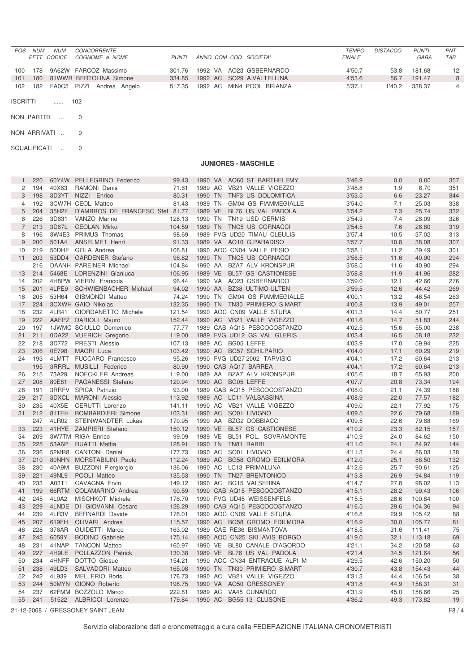| POS. | <b>NUM</b> | <b>NUM</b> | <i>CONCORRENTE</i><br>PETT CODICE COGNOME e NOME | <b>PUNTI</b> | ANNO COM COD. SOCIETA' |                           | <b>TEMPO</b><br><b>FINALE</b> | <b>DISTACCO</b> | <b>PUNTI</b><br>GARA | <b>PNT</b><br><b>TAB</b> |
|------|------------|------------|--------------------------------------------------|--------------|------------------------|---------------------------|-------------------------------|-----------------|----------------------|--------------------------|
| 100  | 178        |            | 9A62W FARCOZ Massimo                             | 301.76       |                        | 1992 VA AO23 GSBERNARDO   | 4'50.7                        | 53.8            | 181.68               | 12 <sup>12</sup>         |
| 101  | 180        |            | 81WWR BERTOLINA Simone                           | 334.85       |                        | 1992 AC SO29 A.VALTELLINA | 4'53.6                        | 56.7            | 191.47               | 8                        |
| 102  |            |            | 182 FA0C5 PIZZI Andrea Angelo                    | 517.35       |                        | 1992 AC MIN4 POOL BRIANZA | 5'37.1                        | 1'40.2          | 338.37               | 4                        |

ISCRITTI ...... 102

- NON PARTITI ... 0
- NON ARRIVATI .. 0

SQUALIFICATI .. 0

## **JUNIORES - MASCHILE**

|                | 220    |       | 60Y4W PELLEGRINO Federico         | 99.43  | 1990 VA |  | AO60 ST BARTHELEMY                  | 3'46.9 | 0.0  | 0.00   | 357    |
|----------------|--------|-------|-----------------------------------|--------|---------|--|-------------------------------------|--------|------|--------|--------|
| 2              | 194    | 40X63 | <b>RAMONI Denis</b>               | 71.61  | 1989 AC |  | VB21 VALLE VIGEZZO                  | 3'48.8 | 1.9  | 6.70   | 351    |
| 3              | 198    |       | 3D3YT NIZZI Enrico                | 80.31  | 1990 TN |  | TNF3 US DOLOMITICA                  | 3'53.5 | 6.6  | 23.27  | 344    |
| 4              | 192    |       | 3CW7H CEOL Matteo                 | 81.43  | 1989 TN |  | GM04 GS FIAMMEGIALLE                | 3'54.0 | 7.1  | 25.03  | 338    |
| 5              | 204    | 35H2F | D'AMBROS DE FRANCESC Stef 81.77   |        | 1989 VE |  | BL76 US VAL PADOLA                  | 3'54.2 | 7.3  | 25.74  | 332    |
| 6              | 226    | 3D631 | VANZO Marino                      | 128.13 | 1990 TN |  | TN19 USD CERMIS                     | 3'54.3 | 7.4  | 26.09  | 326    |
| $\overline{7}$ | 213    |       | 3D67L CEOLAN Mirko                | 104.59 | 1989 TN |  | TNC5 US CORNACCI                    | 3'54.5 | 7.6  | 26.80  | 319    |
| 8              | 196    |       | 3W4E3 PRIMUS Thomas               | 98.69  |         |  | 1989 FVG UD20 TIMAU CLEULIS         | 3'57.4 | 10.5 | 37.02  | 313    |
| 9              | 200    | 501A4 | <b>ANSELMET Henri</b>             | 91.33  |         |  | 1989 VA AO10 G.PARADISO             | 3'57.7 | 10.8 | 38.08  | 307    |
| 10             | 219    |       | 50DHE GOLA Andrea                 | 106.81 |         |  | 1990 AOC CN04 VALLE PESIO           | 3'58.1 | 11.2 | 39.49  | 301    |
| 11             | 203    |       | 53DD4 GARDENER Stefano            | 96.82  | 1990 TN |  | TNC5 US CORNACCI                    | 3'58.5 | 11.6 | 40.90  | 294    |
|                | 216    |       | DAANH PAREINER Michael            | 104.84 | 1990 AA |  | <b>BZA7 ALV KRONSPUR</b>            | 3'58.5 | 11.6 | 40.90  | 294    |
| 13             | 214    | 5468E | LORENZINI Gianluca                | 106.95 | 1989 VE |  | <b>BL57 GS CASTIONESE</b>           | 3'58.8 | 11.9 | 41.96  | 282    |
| 14             | 202    |       | 4H8PW VIERIN Francois             | 96.44  | 1990 VA |  | AO23 GSBERNARDO                     | 3'59.0 | 12.1 | 42.66  | 276    |
| 15             | 201    | 4LPE9 | SCHWIENBACHER Michael             | 94.02  | 1990 AA |  | <b>BZ38 ULTIMO-ULTEN</b>            |        | 12.6 | 44.42  | 269    |
|                |        | 53H64 |                                   |        |         |  |                                     | 3'59.5 |      |        |        |
| 16             | 205    |       | <b>GISMONDI Matteo</b>            | 74.24  | 1990 TN |  | GM04 GS FIAMMEGIALLE                | 4'00.1 | 13.2 | 46.54  | 263    |
| 17             | 224    |       | <b>3CXWH GAIO Nikolas</b>         | 132.35 | 1990 TN |  | TN30 PRIMIERO S.MART                | 4'00.8 | 13.9 | 49.01  | 257    |
| 18             | 232    | 4LR41 | GIORDANETTO Michele               | 121.54 |         |  | 1990 AOC CN09 VALLE STURA           | 4'01.3 | 14.4 | 50.77  | 251    |
| 19             | 222    |       | AAEPZ DARIOLI Mauro               | 152.44 |         |  | 1990 AC VB21 VALLE VIGEZZO          | 4'01.6 | 14.7 | 51.83  | 244    |
| 20             | 197    |       | 1JWMC SCIULLO Domenico            | 77.77  |         |  | 1989 CAB AQ15 PESCOCOSTANZO         | 4'02.5 | 15.6 | 55.00  | 238    |
| 21             | 211    |       | 0DA22 VUERICH Gregorio            | 119.00 |         |  | 1989 FVG UD12 GS VAL GLERIS         | 4'03.4 | 16.5 | 58.18  | 232    |
| 22             | 218    | 3D772 | PRESTI Alessio                    | 107.13 |         |  | 1989 AC BG05 LEFFE                  | 4'03.9 | 17.0 | 59.94  | 225    |
| 23             | 206    | 0E798 | MAGRI Luca                        | 103.42 |         |  | 1990 AC BG57 SCHILPARIO             | 4'04.0 | 17.1 | 60.29  | 219    |
| 24             | 193    |       | 4LMTT FUCCARO Francesco           | 95.26  |         |  | 1990 FVG UD27 2002 TARVISIO         | 4'04.1 | 17.2 | 60.64  | 213    |
|                | 195    |       | 3RRRL MUSILLI Federico            | 80.90  |         |  | 1990 CAB AQ17 BARREA                | 4'04.1 | 17.2 | 60.64  | 213    |
| 26             | 215    | 73A29 | NOECKLER Andreas                  | 119.00 |         |  | 1989 AA BZA7 ALV KRONSPUR           | 4'05.6 | 18.7 | 65.93  | 200    |
| 27             | 208    | 80E81 | PAGANESSI Stefano                 | 120.94 |         |  | 1990 AC BG05 LEFFE                  | 4'07.7 | 20.8 | 73.34  | 194    |
| 28             | 191    |       | 3RRFV SPICA Patrizio              | 93.00  |         |  | 1989 CAB AQ15 PESCOCOSTANZO         | 4'08.0 | 21.1 | 74.39  | 188    |
| 29             | 217    |       | 3DXCL MARONI Alessio              | 113.92 |         |  | 1989 AC LC11 VALSASSINA             | 4'08.9 | 22.0 | 77.57  | 182    |
| 30             | 235    | 40X5E | CERUTTI Lorenzo                   | 141.11 |         |  | 1990 AC VB21 VALLE VIGEZZO          | 4'09.0 | 22.1 | 77.92  | 175    |
| 31             | 212    | 81TEH | <b>BOMBARDIERI Simone</b>         | 103.31 | 1990 AC |  | SO01 LIVIGNO                        | 4'09.5 | 22.6 | 79.68  | 169    |
|                | 247    | 4LR02 | STEINWANDTER Lukas                | 170.95 | 1990 AA |  | BZG2 DOBBIACO                       | 4'09.5 | 22.6 | 79.68  | 169    |
| 33             | 223    |       | 41HYE ZAMPIERI Stefano            | 150.12 | 1990 VE |  | <b>BL57 GS CASTIONESE</b>           | 4'10.2 | 23.3 | 82.15  | 157    |
| 34             | 209    |       | <b>3W7TM RIGA Enrico</b>          | 99.09  | 1989 VE |  | BL51 POL. SOVRAMONTE                | 4'10.9 | 24.0 | 84.62  | 150    |
| 35             | 225    | 53A6P | RUATTI Mattia                     | 128.91 | 1990 TN |  | TN81 RABBI                          | 4'11.0 | 24.1 | 84.97  | 144    |
| 36             | 236    |       | 52MR8 CANTONI Daniel              | 177.73 | 1990 AC |  | SO01 LIVIGNO                        | 4'11.3 | 24.4 | 86.03  | 138    |
| 37             | 210    |       | 80NHN MORSTABILINI Paolo          | 112.24 | 1989 AC |  | <b>BG58 GROMO EDILMORA</b>          | 4'12.0 | 25.1 | 88.50  | 132    |
| 38             | 230    | 40A9M | <b>BUZZONI Piergiorgio</b>        | 136.06 | 1990 AC |  | LC13 PRIMALUNA                      | 4'12.6 | 25.7 | 90.61  | 125    |
| 39             | 221    | 49NL9 | POOLI Matteo                      | 135.53 | 1990 TN |  | TN27 BRENTONICO                     | 4'13.8 | 26.9 | 94.84  | 119    |
| 40             | 233    | A03T1 | <b>CAVAGNA Ervin</b>              | 149.12 | 1990 AC |  | <b>BG15 VALSERINA</b>               | 4'14.7 | 27.8 | 98.02  | 113    |
| 41             | 199    |       | 66RTM COLAMARINO Andrea           | 90.59  |         |  | 1990 CAB AQ15 PESCOCOSTANZO         | 4'15.1 | 28.2 | 99.43  | 106    |
| 42             | 245    | 4L0A2 | <b>MISCHKOT Michele</b>           | 176.70 |         |  | 1990 FVG UD45 WEISSENFELS           | 4'15.5 | 28.6 | 100.84 | 100    |
| 43             | 229    |       | 4LNDE DI GIOVANNI Cesare          | 126.29 |         |  | 1990 CAB AQ15 PESCOCOSTANZO         | 4'16.5 | 29.6 | 104.36 | 94     |
| 44             | 239    | 4LR3V | <b>BERNARDI Davide</b>            | 178.01 |         |  | 1990 AOC CN09 VALLE STURA           | 4'16.8 | 29.9 | 105.42 | 88     |
| 45             | 207    | 619FH | OLIVARI Andrea                    | 115.57 | 1990 AC |  | <b>BG58 GROMO EDILMORA</b>          | 4'16.9 | 30.0 | 105.77 | 81     |
| 46             | 228    | 376AR | GUIDETTI Marco                    | 163.02 |         |  | 1989 CAE RE36 BISMANTOVA            | 4'18.5 | 31.6 | 111.41 | 75     |
|                |        |       |                                   |        |         |  |                                     |        |      |        |        |
|                | 47 243 | 6059Y | <b>BODINO</b> Gabriele            |        |         |  | 175.14 1990 AOC CN25 SKI AVIS BORGO | 4'19.0 | 32.1 | 113.18 | 69     |
| 48             | 231    |       | 41NAP TANCON Matteo               | 160.97 |         |  | 1990 VE BL80 CANALE D'AGORDO        | 4'21.1 | 34.2 | 120.58 | 63     |
| 49             | 227    |       | 4H9LE POLLAZZON Patrick           | 130.38 |         |  | 1989 VE BL76 US VAL PADOLA          | 4'21.4 | 34.5 | 121.64 | 56     |
| 50             | 234    |       | 4HNFF DOTTO Giosue                | 154.21 |         |  | 1990 AOC CN34 ENTRAQUE ALPI M       | 4'29.5 | 42.6 | 150.20 | 50     |
| 51             | 238    | 49LD3 | SALVADORI Matteo                  | 165.08 |         |  | 1990 TN TN30 PRIMIERO S.MART        | 4'30.7 | 43.8 | 154.43 | 44     |
| 52             | 242    | 4L939 | <b>MELLERIO Boris</b>             | 176.73 |         |  | 1990 AC VB21 VALLE VIGEZZO          | 4'31.3 | 44.4 | 156.54 | 38     |
| 53             | 244    |       | 50MYN GIONO Roberto               | 198.75 |         |  | 1990 VA AO50 GRESSONEY              | 4'31.8 | 44.9 | 158.31 | 31     |
| 54             | 237    |       | 62FMM BOZZOLO Marco               | 222.81 |         |  | 1989 AC VA45 CUNARDO                | 4'31.9 | 45.0 | 158.66 | 25     |
|                | 55 241 |       | 51522 ALBRICCI Lorenzo            | 179.84 |         |  | 1990 AC BG55 13 CLUSONE             | 4'36.2 | 49.3 | 173.82 | 19     |
|                |        |       | 21-12-2008 / GRESSONEY SAINT JEAN |        |         |  |                                     |        |      |        | F8 / 4 |